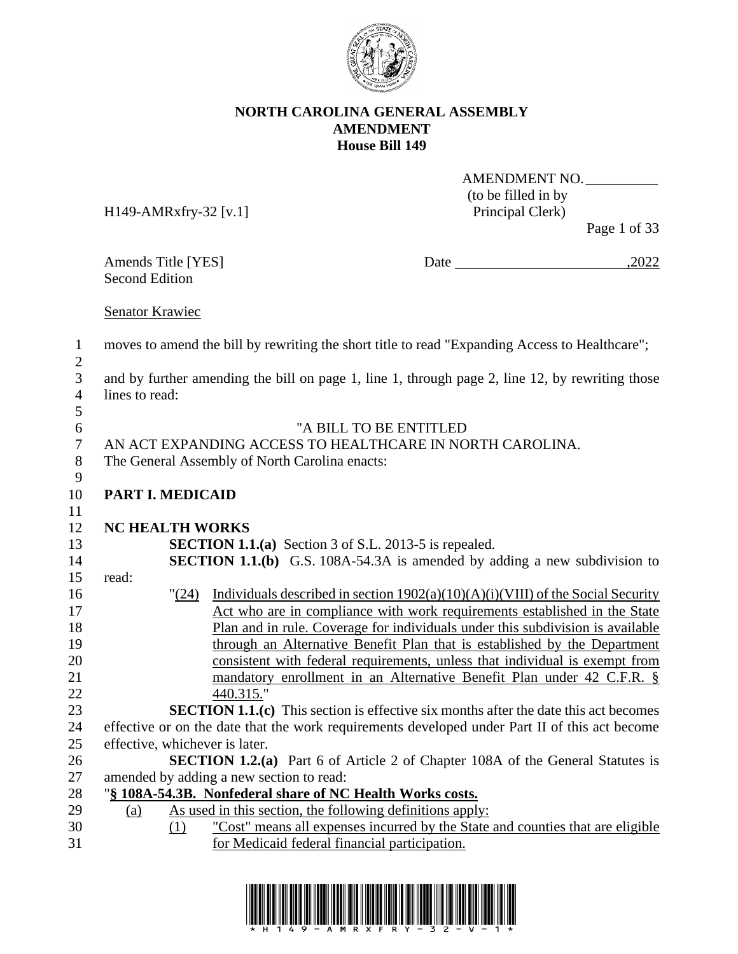

AMENDMENT NO.

(to be filled in by H149-AMRxfry-32 [v.1] Principal Clerk) Page 1 of 33 Amends Title [YES] Date 5.2022 Second Edition Senator Krawiec moves to amend the bill by rewriting the short title to read "Expanding Access to Healthcare"; and by further amending the bill on page 1, line 1, through page 2, line 12, by rewriting those lines to read: "A BILL TO BE ENTITLED AN ACT EXPANDING ACCESS TO HEALTHCARE IN NORTH CAROLINA. The General Assembly of North Carolina enacts: **NC HEALTH WORKS SECTION 1.1.(a)** Section 3 of S.L. 2013-5 is repealed. **SECTION 1.1.(b)** G.S. 108A-54.3A is amended by adding a new subdivision to read: "(24) Individuals described in section 1902(a)(10)(A)(i)(VIII) of the Social Security Act who are in compliance with work requirements established in the State Plan and in rule. Coverage for individuals under this subdivision is available through an Alternative Benefit Plan that is established by the Department consistent with federal requirements, unless that individual is exempt from mandatory enrollment in an Alternative Benefit Plan under 42 C.F.R. § 440.315." **SECTION 1.2.(a)** Part 6 of Article 2 of Chapter 108A of the General Statutes is amended by adding a new section to read: "**§ 108A-54.3B. Nonfederal share of NC Health Works costs.** 29 (a) As used in this section, the following definitions apply:

 (1) "Cost" means all expenses incurred by the State and counties that are eligible for Medicaid federal financial participation.



- **PART I. MEDICAID**
- 

 **SECTION 1.1.(c)** This section is effective six months after the date this act becomes effective or on the date that the work requirements developed under Part II of this act become effective, whichever is later.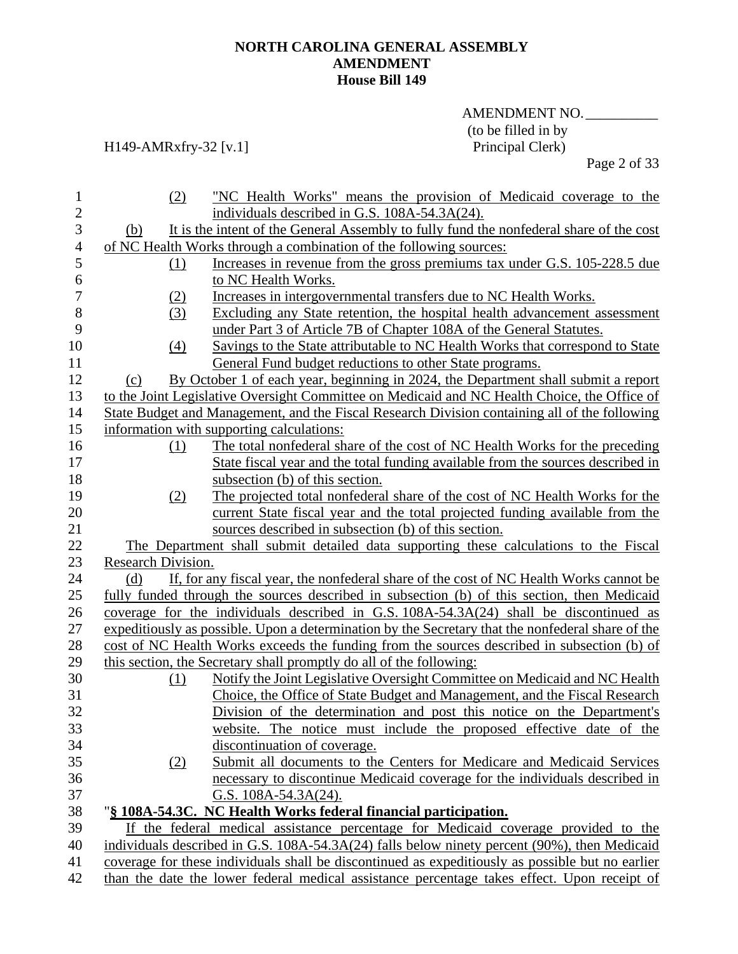## AMENDMENT NO. (to be filled in by<br>Principal Clerk)

## H149-AMRxfry-32 [v.1]

Page 2 of 33

| $\mathbf{1}$   | (2)                | "NC Health Works" means the provision of Medicaid coverage to the                                 |
|----------------|--------------------|---------------------------------------------------------------------------------------------------|
| $\overline{c}$ |                    | individuals described in G.S. 108A-54.3A(24).                                                     |
| 3              | (b)                | It is the intent of the General Assembly to fully fund the nonfederal share of the cost           |
| $\overline{4}$ |                    | of NC Health Works through a combination of the following sources:                                |
| 5              | (1)                | Increases in revenue from the gross premiums tax under G.S. 105-228.5 due                         |
| 6              |                    | to NC Health Works.                                                                               |
| $\overline{7}$ | (2)                | Increases in intergovernmental transfers due to NC Health Works.                                  |
| 8              | (3)                | Excluding any State retention, the hospital health advancement assessment                         |
| 9              |                    | under Part 3 of Article 7B of Chapter 108A of the General Statutes.                               |
| 10             | (4)                | Savings to the State attributable to NC Health Works that correspond to State                     |
| 11             |                    | General Fund budget reductions to other State programs.                                           |
| 12             | (c)                | By October 1 of each year, beginning in 2024, the Department shall submit a report                |
| 13             |                    | to the Joint Legislative Oversight Committee on Medicaid and NC Health Choice, the Office of      |
| 14             |                    | State Budget and Management, and the Fiscal Research Division containing all of the following     |
| 15             |                    | information with supporting calculations:                                                         |
| 16             | (1)                | The total nonfederal share of the cost of NC Health Works for the preceding                       |
| 17             |                    | State fiscal year and the total funding available from the sources described in                   |
| 18             |                    | subsection (b) of this section.                                                                   |
| 19             | (2)                | The projected total nonfederal share of the cost of NC Health Works for the                       |
| 20             |                    | current State fiscal year and the total projected funding available from the                      |
| 21             |                    | sources described in subsection (b) of this section.                                              |
| 22             |                    | The Department shall submit detailed data supporting these calculations to the Fiscal             |
| 23             | Research Division. |                                                                                                   |
| 24             | (d)                | If, for any fiscal year, the nonfederal share of the cost of NC Health Works cannot be            |
| 25             |                    | fully funded through the sources described in subsection (b) of this section, then Medicaid       |
| 26             |                    | coverage for the individuals described in G.S. $108A-54.3A(24)$ shall be discontinued as          |
| 27             |                    | expeditiously as possible. Upon a determination by the Secretary that the nonfederal share of the |
| 28             |                    | cost of NC Health Works exceeds the funding from the sources described in subsection (b) of       |
| 29             |                    | this section, the Secretary shall promptly do all of the following:                               |
| 30             | (1)                | Notify the Joint Legislative Oversight Committee on Medicaid and NC Health                        |
| 31             |                    | Choice, the Office of State Budget and Management, and the Fiscal Research                        |
| 32             |                    | Division of the determination and post this notice on the Department's                            |
| 33             |                    | website. The notice must include the proposed effective date of the                               |
| 34             |                    | discontinuation of coverage.                                                                      |
| 35             | (2)                | Submit all documents to the Centers for Medicare and Medicaid Services                            |
| 36             |                    | necessary to discontinue Medicaid coverage for the individuals described in                       |
| 37             |                    | G.S. $108A-54.3A(24)$ .                                                                           |
| 38             |                    | "§ 108A-54.3C. NC Health Works federal financial participation.                                   |
| 39             |                    | If the federal medical assistance percentage for Medicaid coverage provided to the                |
| 40             |                    | individuals described in G.S. 108A-54.3A(24) falls below ninety percent (90%), then Medicaid      |
| 41             |                    | coverage for these individuals shall be discontinued as expeditiously as possible but no earlier  |
| 42             |                    | than the date the lower federal medical assistance percentage takes effect. Upon receipt of       |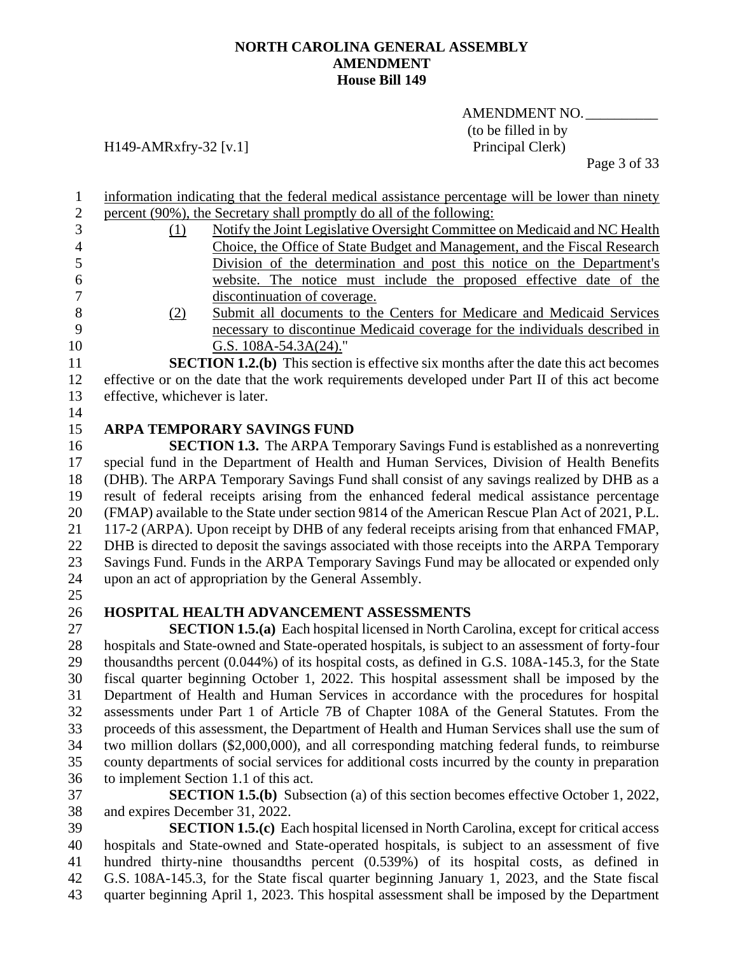AMENDMENT NO.\_\_\_\_\_\_\_\_\_\_ (to be filled in by

## H149-AMRxfry-32 [v.1] Principal Clerk)

Page 3 of 33

| information indicating that the federal medical assistance percentage will be lower than ninety |
|-------------------------------------------------------------------------------------------------|
| percent (90%), the Secretary shall promptly do all of the following:                            |

- (1) Notify the Joint Legislative Oversight Committee on Medicaid and NC Health Choice, the Office of State Budget and Management, and the Fiscal Research Division of the determination and post this notice on the Department's website. The notice must include the proposed effective date of the discontinuation of coverage.
- 

- 
- (2) Submit all documents to the Centers for Medicare and Medicaid Services necessary to discontinue Medicaid coverage for the individuals described in **G.S.** 108A-54.3A(24)."

 **SECTION 1.2.(b)** This section is effective six months after the date this act becomes effective or on the date that the work requirements developed under Part II of this act become effective, whichever is later.

**ARPA TEMPORARY SAVINGS FUND**

 **SECTION 1.3.** The ARPA Temporary Savings Fund is established as a nonreverting special fund in the Department of Health and Human Services, Division of Health Benefits (DHB). The ARPA Temporary Savings Fund shall consist of any savings realized by DHB as a result of federal receipts arising from the enhanced federal medical assistance percentage (FMAP) available to the State under section 9814 of the American Rescue Plan Act of 2021, P.L. 117-2 (ARPA). Upon receipt by DHB of any federal receipts arising from that enhanced FMAP, DHB is directed to deposit the savings associated with those receipts into the ARPA Temporary Savings Fund. Funds in the ARPA Temporary Savings Fund may be allocated or expended only upon an act of appropriation by the General Assembly.

## **HOSPITAL HEALTH ADVANCEMENT ASSESSMENTS**

 **SECTION 1.5.(a)** Each hospital licensed in North Carolina, except for critical access hospitals and State-owned and State-operated hospitals, is subject to an assessment of forty-four thousandths percent (0.044%) of its hospital costs, as defined in G.S. 108A-145.3, for the State fiscal quarter beginning October 1, 2022. This hospital assessment shall be imposed by the Department of Health and Human Services in accordance with the procedures for hospital assessments under Part 1 of Article 7B of Chapter 108A of the General Statutes. From the proceeds of this assessment, the Department of Health and Human Services shall use the sum of two million dollars (\$2,000,000), and all corresponding matching federal funds, to reimburse county departments of social services for additional costs incurred by the county in preparation to implement Section 1.1 of this act.

 **SECTION 1.5.(b)** Subsection (a) of this section becomes effective October 1, 2022, and expires December 31, 2022.

 **SECTION 1.5.(c)** Each hospital licensed in North Carolina, except for critical access hospitals and State-owned and State-operated hospitals, is subject to an assessment of five hundred thirty-nine thousandths percent (0.539%) of its hospital costs, as defined in G.S. 108A-145.3, for the State fiscal quarter beginning January 1, 2023, and the State fiscal quarter beginning April 1, 2023. This hospital assessment shall be imposed by the Department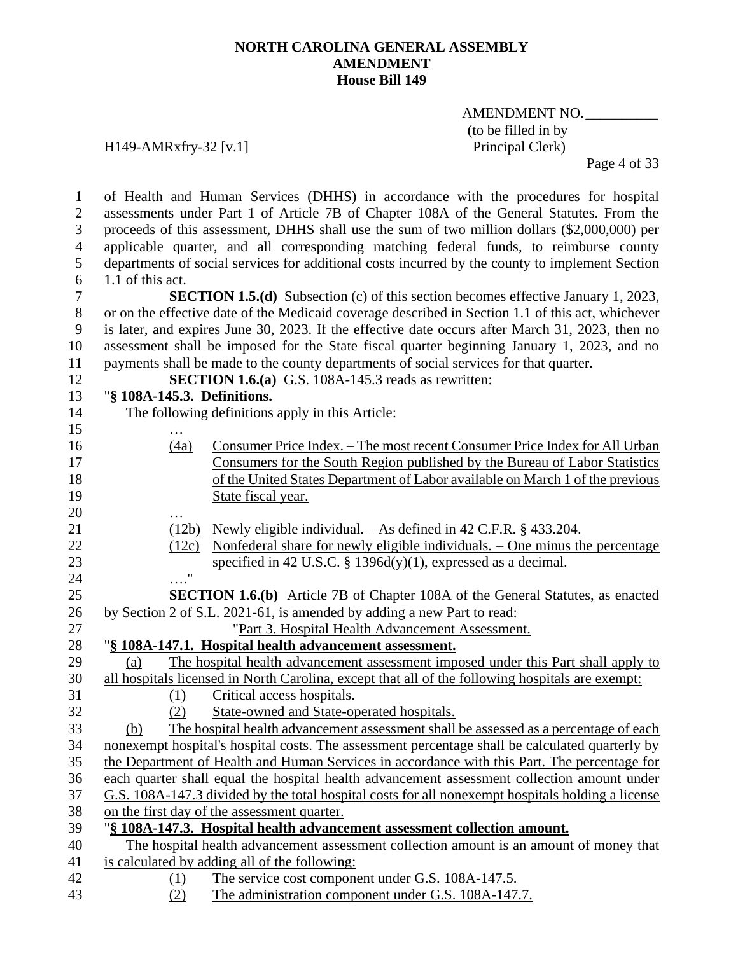## AMENDMENT NO.\_\_\_\_\_\_\_\_\_\_ (to be filled in by

H149-AMRxfry-32 [v.1] Principal Clerk)

Page 4 of 33

 of Health and Human Services (DHHS) in accordance with the procedures for hospital assessments under Part 1 of Article 7B of Chapter 108A of the General Statutes. From the proceeds of this assessment, DHHS shall use the sum of two million dollars (\$2,000,000) per applicable quarter, and all corresponding matching federal funds, to reimburse county departments of social services for additional costs incurred by the county to implement Section 1.1 of this act. **SECTION 1.5.(d)** Subsection (c) of this section becomes effective January 1, 2023, or on the effective date of the Medicaid coverage described in Section 1.1 of this act, whichever is later, and expires June 30, 2023. If the effective date occurs after March 31, 2023, then no assessment shall be imposed for the State fiscal quarter beginning January 1, 2023, and no payments shall be made to the county departments of social services for that quarter. **SECTION 1.6.(a)** G.S. 108A-145.3 reads as rewritten: "**§ 108A-145.3. Definitions.** The following definitions apply in this Article: … (4a) Consumer Price Index. – The most recent Consumer Price Index for All Urban Consumers for the South Region published by the Bureau of Labor Statistics of the United States Department of Labor available on March 1 of the previous State fiscal year. … (12b) Newly eligible individual. – As defined in 42 C.F.R. § 433.204. (12c) Nonfederal share for newly eligible individuals. – One minus the percentage 23 specified in 42 U.S.C.  $\S$  1396d(y)(1), expressed as a decimal. …." **SECTION 1.6.(b)** Article 7B of Chapter 108A of the General Statutes, as enacted by Section 2 of S.L. 2021-61, is amended by adding a new Part to read: "Part 3. Hospital Health Advancement Assessment. "**§ 108A-147.1. Hospital health advancement assessment.** (a) The hospital health advancement assessment imposed under this Part shall apply to all hospitals licensed in North Carolina, except that all of the following hospitals are exempt: (1) Critical access hospitals. (2) State-owned and State-operated hospitals. (b) The hospital health advancement assessment shall be assessed as a percentage of each nonexempt hospital's hospital costs. The assessment percentage shall be calculated quarterly by the Department of Health and Human Services in accordance with this Part. The percentage for each quarter shall equal the hospital health advancement assessment collection amount under G.S. 108A-147.3 divided by the total hospital costs for all nonexempt hospitals holding a license on the first day of the assessment quarter. "**§ 108A-147.3. Hospital health advancement assessment collection amount.** The hospital health advancement assessment collection amount is an amount of money that is calculated by adding all of the following: (1) The service cost component under G.S. 108A-147.5. (2) The administration component under G.S. 108A-147.7.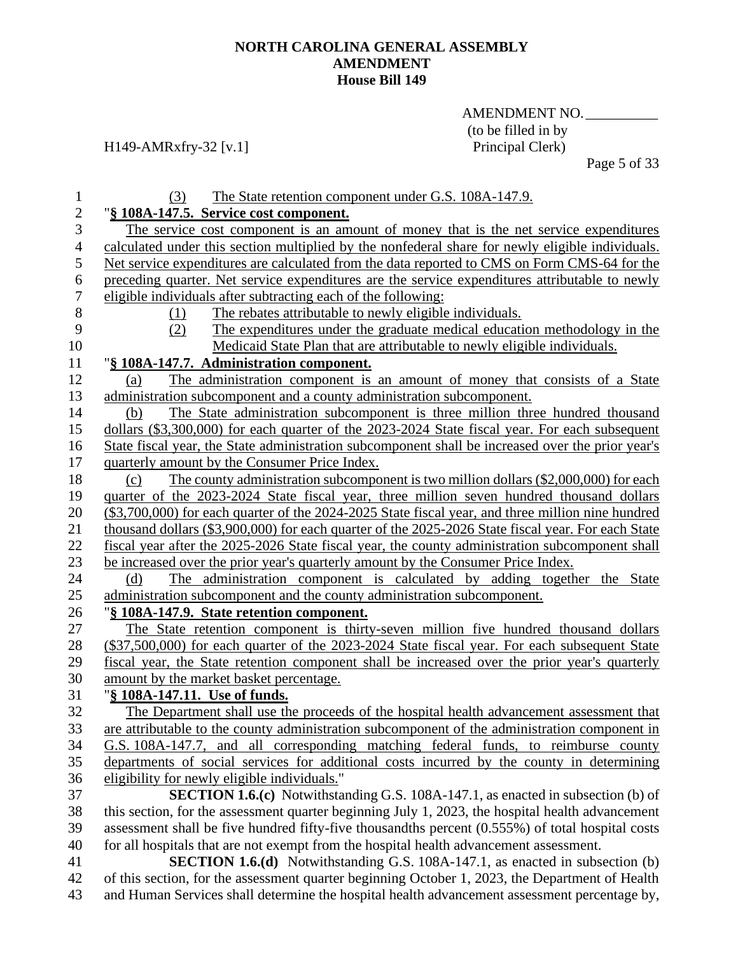## AMENDMENT NO. (to be filled in by<br>Principal Clerk)

## H149-AMRxfry-32 [v.1]

Page 5 of 33

| 1                | The State retention component under G.S. 108A-147.9.<br>(3)                                        |
|------------------|----------------------------------------------------------------------------------------------------|
| $\overline{2}$   | "§ 108A-147.5. Service cost component.                                                             |
| 3                | The service cost component is an amount of money that is the net service expenditures              |
| $\overline{4}$   | calculated under this section multiplied by the nonfederal share for newly eligible individuals.   |
| 5                | Net service expenditures are calculated from the data reported to CMS on Form CMS-64 for the       |
| 6                | preceding quarter. Net service expenditures are the service expenditures attributable to newly     |
| $\boldsymbol{7}$ | eligible individuals after subtracting each of the following:                                      |
| $8\,$            | The rebates attributable to newly eligible individuals.<br><u>(1)</u>                              |
| 9                | (2)<br>The expenditures under the graduate medical education methodology in the                    |
| 10               | Medicaid State Plan that are attributable to newly eligible individuals.                           |
| 11               | "§ 108A-147.7. Administration component.                                                           |
| 12               | The administration component is an amount of money that consists of a State<br>(a)                 |
| 13               | administration subcomponent and a county administration subcomponent.                              |
| 14               | The State administration subcomponent is three million three hundred thousand<br>(b)               |
| 15               | dollars (\$3,300,000) for each quarter of the 2023-2024 State fiscal year. For each subsequent     |
| 16               | State fiscal year, the State administration subcomponent shall be increased over the prior year's  |
| 17               | quarterly amount by the Consumer Price Index.                                                      |
| 18               | The county administration subcomponent is two million dollars (\$2,000,000) for each<br>(c)        |
| 19               | quarter of the 2023-2024 State fiscal year, three million seven hundred thousand dollars           |
| 20               | (\$3,700,000) for each quarter of the 2024-2025 State fiscal year, and three million nine hundred  |
| 21               | thousand dollars (\$3,900,000) for each quarter of the 2025-2026 State fiscal year. For each State |
| 22               | fiscal year after the 2025-2026 State fiscal year, the county administration subcomponent shall    |
| 23               | be increased over the prior year's quarterly amount by the Consumer Price Index.                   |
| 24               | The administration component is calculated by adding together the State<br>(d)                     |
| 25               | administration subcomponent and the county administration subcomponent.                            |
| 26               | "§ 108A-147.9. State retention component.                                                          |
| 27               | The State retention component is thirty-seven million five hundred thousand dollars                |
| 28               | (\$37,500,000) for each quarter of the 2023-2024 State fiscal year. For each subsequent State      |
| 29               | fiscal year, the State retention component shall be increased over the prior year's quarterly      |
| 30               | amount by the market basket percentage.                                                            |
| 31               | "§ 108A-147.11. Use of funds.                                                                      |
| 32               | The Department shall use the proceeds of the hospital health advancement assessment that           |
| 33               | are attributable to the county administration subcomponent of the administration component in      |
| 34               | G.S. 108A-147.7, and all corresponding matching federal funds, to reimburse county                 |
| 35               | departments of social services for additional costs incurred by the county in determining          |
| 36               | eligibility for newly eligible individuals."                                                       |
| 37               | SECTION 1.6.(c) Notwithstanding G.S. 108A-147.1, as enacted in subsection (b) of                   |
| 38               | this section, for the assessment quarter beginning July 1, 2023, the hospital health advancement   |
| 39               | assessment shall be five hundred fifty-five thousandths percent (0.555%) of total hospital costs   |
| 40               | for all hospitals that are not exempt from the hospital health advancement assessment.             |
| 41               | <b>SECTION 1.6.(d)</b> Notwithstanding G.S. 108A-147.1, as enacted in subsection (b)               |
| 42               | of this section, for the assessment quarter beginning October 1, 2023, the Department of Health    |
| 43               | and Human Services shall determine the hospital health advancement assessment percentage by,       |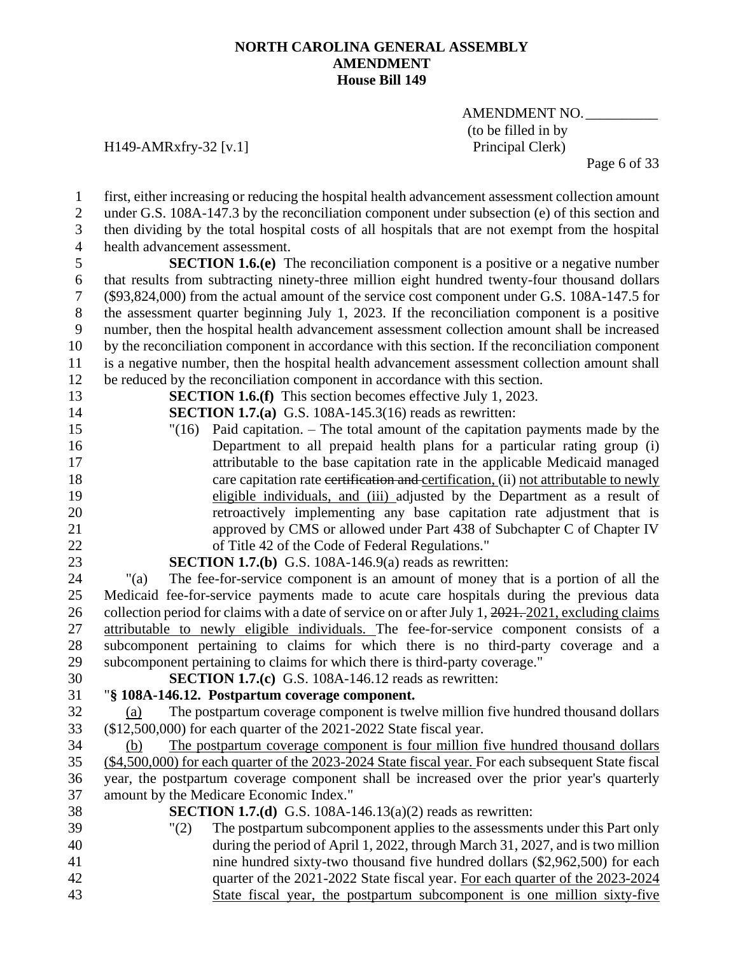AMENDMENT NO. (to be filled in by<br>Principal Clerk)

## H149-AMRxfry-32 [v.1]

Page 6 of 33

| $\mathbf{1}$     | first, either increasing or reducing the hospital health advancement assessment collection amount    |
|------------------|------------------------------------------------------------------------------------------------------|
| $\mathbf{2}$     | under G.S. 108A-147.3 by the reconciliation component under subsection (e) of this section and       |
| 3                | then dividing by the total hospital costs of all hospitals that are not exempt from the hospital     |
| $\overline{4}$   | health advancement assessment.                                                                       |
| 5                | <b>SECTION 1.6.(e)</b> The reconciliation component is a positive or a negative number               |
| 6                | that results from subtracting ninety-three million eight hundred twenty-four thousand dollars        |
| $\boldsymbol{7}$ | (\$93,824,000) from the actual amount of the service cost component under G.S. 108A-147.5 for        |
| $8\,$            | the assessment quarter beginning July 1, 2023. If the reconciliation component is a positive         |
| 9                | number, then the hospital health advancement assessment collection amount shall be increased         |
| 10               | by the reconciliation component in accordance with this section. If the reconciliation component     |
| 11               | is a negative number, then the hospital health advancement assessment collection amount shall        |
| 12               | be reduced by the reconciliation component in accordance with this section.                          |
| 13               | <b>SECTION 1.6.(f)</b> This section becomes effective July 1, 2023.                                  |
| 14               | <b>SECTION 1.7.(a)</b> G.S. 108A-145.3(16) reads as rewritten:                                       |
| 15               | Paid capitation. – The total amount of the capitation payments made by the<br>"(16)                  |
| 16               | Department to all prepaid health plans for a particular rating group (i)                             |
| 17               | attributable to the base capitation rate in the applicable Medicaid managed                          |
| 18               | care capitation rate certification and certification, (ii) not attributable to newly                 |
| 19               | eligible individuals, and (iii) adjusted by the Department as a result of                            |
| 20               | retroactively implementing any base capitation rate adjustment that is                               |
| 21               | approved by CMS or allowed under Part 438 of Subchapter C of Chapter IV                              |
| 22               | of Title 42 of the Code of Federal Regulations."                                                     |
| 23               | <b>SECTION 1.7.(b)</b> G.S. 108A-146.9(a) reads as rewritten:                                        |
| 24               | The fee-for-service component is an amount of money that is a portion of all the<br>" $(a)$          |
| 25               | Medicaid fee-for-service payments made to acute care hospitals during the previous data              |
| 26               | collection period for claims with a date of service on or after July 1, 2021, 2021, excluding claims |
| 27               | attributable to newly eligible individuals. The fee-for-service component consists of a              |
| 28               | subcomponent pertaining to claims for which there is no third-party coverage and a                   |
| 29               | subcomponent pertaining to claims for which there is third-party coverage."                          |
| 30               | <b>SECTION 1.7.(c)</b> G.S. 108A-146.12 reads as rewritten:                                          |
| 31               | "§ 108A-146.12. Postpartum coverage component.                                                       |
| 32               | The postpartum coverage component is twelve million five hundred thousand dollars<br>(a)             |
| 33               | (\$12,500,000) for each quarter of the 2021-2022 State fiscal year.                                  |
| 34               | The postpartum coverage component is four million five hundred thousand dollars<br>(b)               |
| 35               | (\$4,500,000) for each quarter of the 2023-2024 State fiscal year. For each subsequent State fiscal  |
| 36               | year, the postpartum coverage component shall be increased over the prior year's quarterly           |
| 37               | amount by the Medicare Economic Index."                                                              |
| 38               | <b>SECTION 1.7.(d)</b> G.S. 108A-146.13(a)(2) reads as rewritten:                                    |
| 39               | The postpartum subcomponent applies to the assessments under this Part only<br>"(2)                  |
| 40               | during the period of April 1, 2022, through March 31, 2027, and is two million                       |
| 41               | nine hundred sixty-two thousand five hundred dollars (\$2,962,500) for each                          |
| 42               | quarter of the 2021-2022 State fiscal year. For each quarter of the 2023-2024                        |
| 43               | State fiscal year, the postpartum subcomponent is one million sixty-five                             |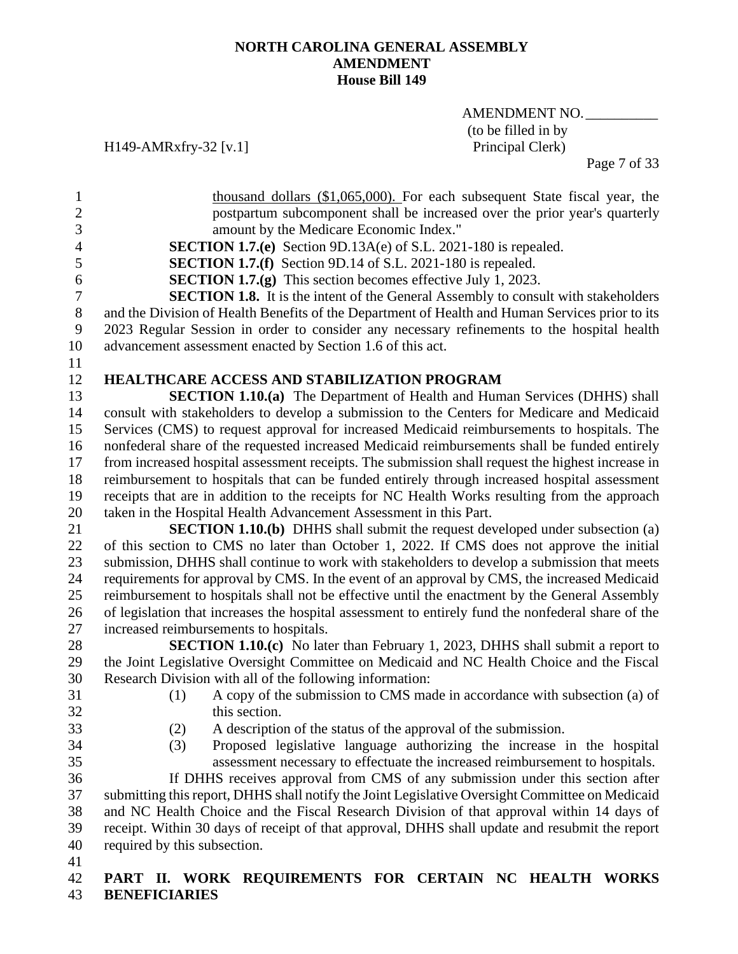AMENDMENT NO. (to be filled in by<br>Principal Clerk)

H149-AMRxfry-32 [v.1]

Page 7 of 33

| 1                | thousand dollars (\$1,065,000). For each subsequent State fiscal year, the                         |
|------------------|----------------------------------------------------------------------------------------------------|
| $\boldsymbol{2}$ | postpartum subcomponent shall be increased over the prior year's quarterly                         |
| 3                | amount by the Medicare Economic Index."                                                            |
| $\overline{4}$   | <b>SECTION 1.7.(e)</b> Section 9D.13A(e) of S.L. 2021-180 is repealed.                             |
| 5                | <b>SECTION 1.7.(f)</b> Section 9D.14 of S.L. 2021-180 is repealed.                                 |
| 6                | <b>SECTION 1.7.(g)</b> This section becomes effective July 1, 2023.                                |
| $\overline{7}$   | <b>SECTION 1.8.</b> It is the intent of the General Assembly to consult with stakeholders          |
| $8\,$            | and the Division of Health Benefits of the Department of Health and Human Services prior to its    |
| 9                | 2023 Regular Session in order to consider any necessary refinements to the hospital health         |
| 10               | advancement assessment enacted by Section 1.6 of this act.                                         |
| 11               |                                                                                                    |
| 12               | HEALTHCARE ACCESS AND STABILIZATION PROGRAM                                                        |
| 13               | <b>SECTION 1.10.(a)</b> The Department of Health and Human Services (DHHS) shall                   |
| 14               | consult with stakeholders to develop a submission to the Centers for Medicare and Medicaid         |
| 15               | Services (CMS) to request approval for increased Medicaid reimbursements to hospitals. The         |
| 16               | nonfederal share of the requested increased Medicaid reimbursements shall be funded entirely       |
| 17               | from increased hospital assessment receipts. The submission shall request the highest increase in  |
| 18               | reimbursement to hospitals that can be funded entirely through increased hospital assessment       |
| 19               | receipts that are in addition to the receipts for NC Health Works resulting from the approach      |
| 20               | taken in the Hospital Health Advancement Assessment in this Part.                                  |
| 21               | <b>SECTION 1.10.(b)</b> DHHS shall submit the request developed under subsection (a)               |
| 22               | of this section to CMS no later than October 1, 2022. If CMS does not approve the initial          |
| 23               | submission, DHHS shall continue to work with stakeholders to develop a submission that meets       |
| 24               | requirements for approval by CMS. In the event of an approval by CMS, the increased Medicaid       |
| 25               | reimbursement to hospitals shall not be effective until the enactment by the General Assembly      |
| 26               | of legislation that increases the hospital assessment to entirely fund the nonfederal share of the |
| 27               | increased reimbursements to hospitals.                                                             |
| 28               | <b>SECTION 1.10.(c)</b> No later than February 1, 2023, DHHS shall submit a report to              |
| 29               | the Joint Legislative Oversight Committee on Medicaid and NC Health Choice and the Fiscal          |
| 30               | Research Division with all of the following information:                                           |
| 31               | A copy of the submission to CMS made in accordance with subsection (a) of<br>(1)                   |
| 32               | this section.                                                                                      |
| 33               | (2)<br>A description of the status of the approval of the submission.                              |
| 34               | Proposed legislative language authorizing the increase in the hospital<br>(3)                      |
| 35               | assessment necessary to effectuate the increased reimbursement to hospitals.                       |
| 36               | If DHHS receives approval from CMS of any submission under this section after                      |
| 37               | submitting this report, DHHS shall notify the Joint Legislative Oversight Committee on Medicaid    |
| 38               | and NC Health Choice and the Fiscal Research Division of that approval within 14 days of           |
| 39               | receipt. Within 30 days of receipt of that approval, DHHS shall update and resubmit the report     |
| 40               | required by this subsection.                                                                       |
| 41               |                                                                                                    |
| 42               | WORK REQUIREMENTS FOR CERTAIN NC HEALTH<br>PART II.<br><b>WORKS</b>                                |

**BENEFICIARIES**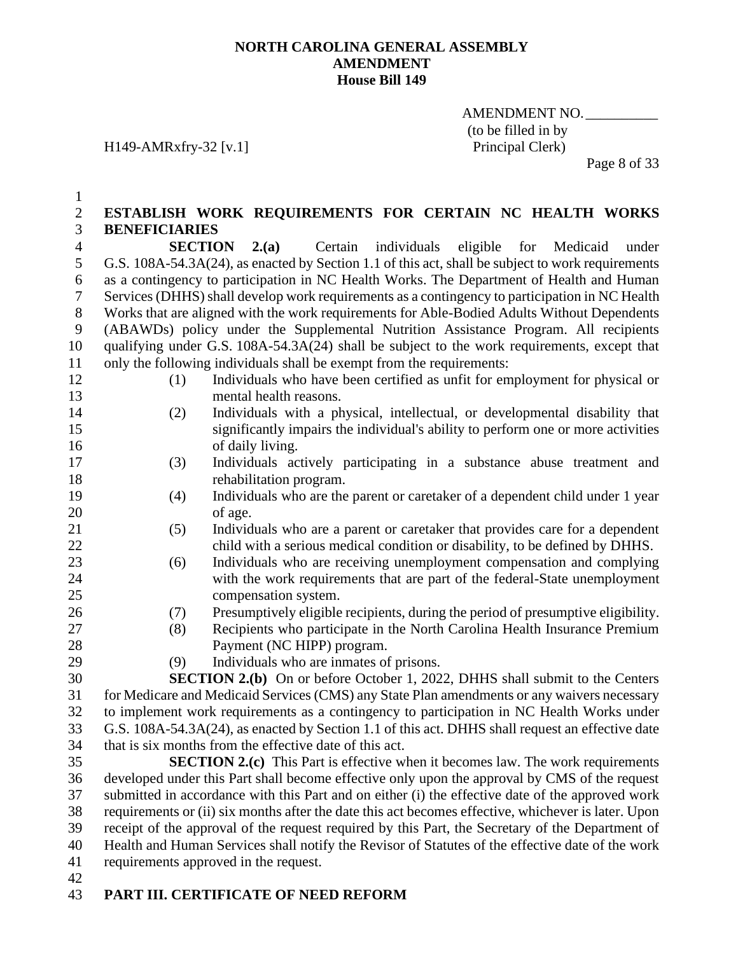H149-AMRxfry-32 [v.1]

AMENDMENT NO. (to be filled in by<br>Principal Clerk)

Page 8 of 33

| $\mathbf{1}$   |                                                                                                     |
|----------------|-----------------------------------------------------------------------------------------------------|
| $\overline{c}$ | ESTABLISH WORK REQUIREMENTS FOR CERTAIN NC HEALTH WORKS                                             |
| 3              | <b>BENEFICIARIES</b>                                                                                |
| $\overline{4}$ | <b>SECTION</b><br>2(a)<br>Certain<br>individuals<br>eligible<br>for<br>Medicaid<br>under            |
| 5              | G.S. 108A-54.3A(24), as enacted by Section 1.1 of this act, shall be subject to work requirements   |
| 6              | as a contingency to participation in NC Health Works. The Department of Health and Human            |
| 7              | Services (DHHS) shall develop work requirements as a contingency to participation in NC Health      |
| $8\,$          | Works that are aligned with the work requirements for Able-Bodied Adults Without Dependents         |
| 9              | (ABAWDs) policy under the Supplemental Nutrition Assistance Program. All recipients                 |
| 10             | qualifying under G.S. 108A-54.3A(24) shall be subject to the work requirements, except that         |
| 11             | only the following individuals shall be exempt from the requirements:                               |
| 12             | Individuals who have been certified as unfit for employment for physical or<br>(1)                  |
| 13             | mental health reasons.                                                                              |
| 14             | Individuals with a physical, intellectual, or developmental disability that<br>(2)                  |
| 15             | significantly impairs the individual's ability to perform one or more activities                    |
| 16             | of daily living.                                                                                    |
| 17             | Individuals actively participating in a substance abuse treatment and<br>(3)                        |
| 18             | rehabilitation program.                                                                             |
| 19             | Individuals who are the parent or caretaker of a dependent child under 1 year<br>(4)                |
| 20             | of age.                                                                                             |
| 21             | Individuals who are a parent or caretaker that provides care for a dependent<br>(5)                 |
| 22             | child with a serious medical condition or disability, to be defined by DHHS.                        |
| 23             | Individuals who are receiving unemployment compensation and complying<br>(6)                        |
| 24             | with the work requirements that are part of the federal-State unemployment                          |
| 25             | compensation system.                                                                                |
| 26             | Presumptively eligible recipients, during the period of presumptive eligibility.<br>(7)             |
| 27             | Recipients who participate in the North Carolina Health Insurance Premium<br>(8)                    |
| 28             | Payment (NC HIPP) program.                                                                          |
| 29             | Individuals who are inmates of prisons.<br>(9)                                                      |
| 30             | <b>SECTION 2.(b)</b> On or before October 1, 2022, DHHS shall submit to the Centers                 |
| 31             | for Medicare and Medicaid Services (CMS) any State Plan amendments or any waivers necessary         |
| 32             | to implement work requirements as a contingency to participation in NC Health Works under           |
| 33             | G.S. 108A-54.3A(24), as enacted by Section 1.1 of this act. DHHS shall request an effective date    |
| 34             | that is six months from the effective date of this act.                                             |
| 35             | <b>SECTION 2.(c)</b> This Part is effective when it becomes law. The work requirements              |
| 36             | developed under this Part shall become effective only upon the approval by CMS of the request       |
| 37             | submitted in accordance with this Part and on either (i) the effective date of the approved work    |
| 38             | requirements or (ii) six months after the date this act becomes effective, whichever is later. Upon |
| 39             | receipt of the approval of the request required by this Part, the Secretary of the Department of    |
| 40             | Health and Human Services shall notify the Revisor of Statutes of the effective date of the work    |
| 41             | requirements approved in the request.                                                               |

## **PART III. CERTIFICATE OF NEED REFORM**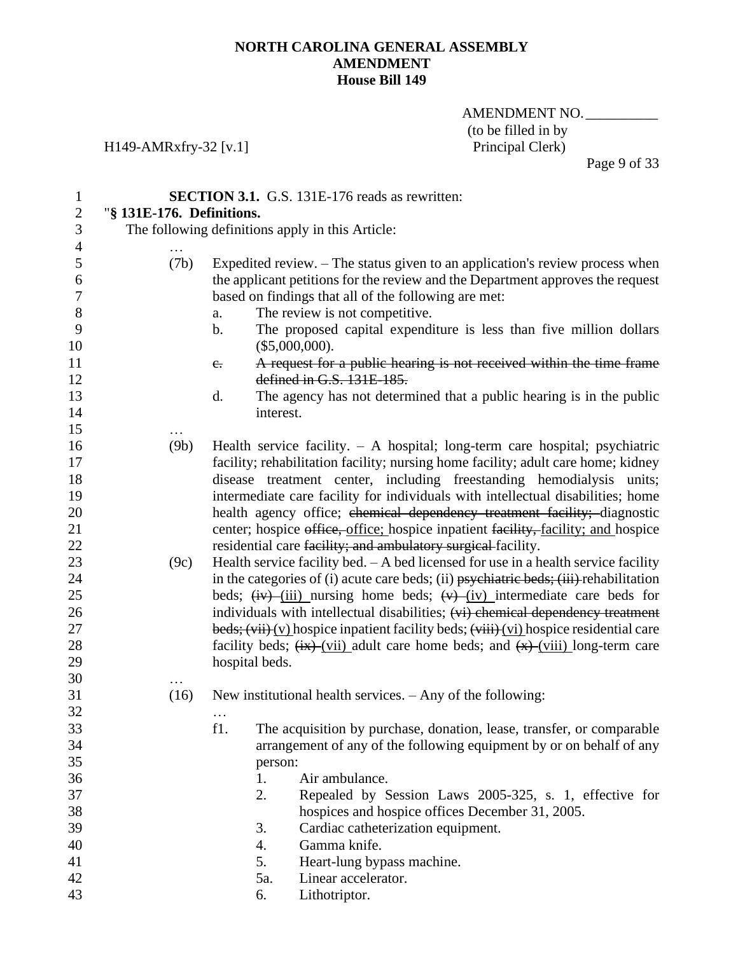AMENDMENT NO. (to be filled in by<br>Principal Clerk)

Page 9 of 33

## H149-AMRxfry-32 [v.1]

| $\mathbf{1}$     | <b>SECTION 3.1.</b> G.S. 131E-176 reads as rewritten: |                |                                                                                                                                                                |  |  |
|------------------|-------------------------------------------------------|----------------|----------------------------------------------------------------------------------------------------------------------------------------------------------------|--|--|
| $\overline{c}$   | "§ 131E-176. Definitions.                             |                |                                                                                                                                                                |  |  |
| 3                | The following definitions apply in this Article:      |                |                                                                                                                                                                |  |  |
| $\overline{4}$   |                                                       |                |                                                                                                                                                                |  |  |
| 5<br>6           | (7b)                                                  |                | Expedited review. – The status given to an application's review process when<br>the applicant petitions for the review and the Department approves the request |  |  |
| $\boldsymbol{7}$ |                                                       |                | based on findings that all of the following are met:                                                                                                           |  |  |
| $8\,$            |                                                       | a.             | The review is not competitive.                                                                                                                                 |  |  |
| 9<br>10          |                                                       | b.             | The proposed capital expenditure is less than five million dollars<br>(\$5,000,000).                                                                           |  |  |
| 11               |                                                       | $e_{\cdot}$    | A request for a public hearing is not received within the time frame                                                                                           |  |  |
| 12               |                                                       |                | defined in G.S. 131E-185.                                                                                                                                      |  |  |
| 13               |                                                       | d.             | The agency has not determined that a public hearing is in the public                                                                                           |  |  |
| 14               |                                                       | interest.      |                                                                                                                                                                |  |  |
| 15               |                                                       |                |                                                                                                                                                                |  |  |
| 16               | (9b)                                                  |                | Health service facility. $- A$ hospital; long-term care hospital; psychiatric                                                                                  |  |  |
| 17               |                                                       |                | facility; rehabilitation facility; nursing home facility; adult care home; kidney                                                                              |  |  |
| 18               |                                                       |                | disease treatment center, including freestanding hemodialysis units;                                                                                           |  |  |
| 19               |                                                       |                | intermediate care facility for individuals with intellectual disabilities; home                                                                                |  |  |
| 20               |                                                       |                | health agency office; chemical dependency treatment facility; diagnostic                                                                                       |  |  |
| 21               |                                                       |                | center; hospice office, office; hospice inpatient facility, facility; and hospice                                                                              |  |  |
| 22               |                                                       |                | residential care facility; and ambulatory surgical facility.                                                                                                   |  |  |
| 23               | (9c)                                                  |                | Health service facility bed. $- A$ bed licensed for use in a health service facility                                                                           |  |  |
| 24               |                                                       |                | in the categories of (i) acute care beds; (ii) psychiatric beds; (iii) rehabilitation                                                                          |  |  |
| 25               |                                                       |                | beds; $(iv)$ (iii) nursing home beds; $(v)$ (iv) intermediate care beds for                                                                                    |  |  |
| 26               |                                                       |                | individuals with intellectual disabilities; (vi) chemical dependency treatment                                                                                 |  |  |
| 27               |                                                       |                | beds; $(vii)(y)$ hospice inpatient facility beds; $(viii)(vi)$ hospice residential care                                                                        |  |  |
| 28               |                                                       |                | facility beds; $\frac{f(x)}{f(x)}$ (vii) adult care home beds; and $\frac{f(x)}{g(x)}$ (viii) long-term care                                                   |  |  |
| 29               |                                                       | hospital beds. |                                                                                                                                                                |  |  |
| 30               |                                                       |                |                                                                                                                                                                |  |  |
| 31               | (16)                                                  |                | New institutional health services. $-$ Any of the following:                                                                                                   |  |  |
| 32               |                                                       |                |                                                                                                                                                                |  |  |
| 33               |                                                       | f1.            | The acquisition by purchase, donation, lease, transfer, or comparable                                                                                          |  |  |
| 34               |                                                       |                | arrangement of any of the following equipment by or on behalf of any                                                                                           |  |  |
| 35               |                                                       | person:        |                                                                                                                                                                |  |  |
| 36               |                                                       | 1.             | Air ambulance.                                                                                                                                                 |  |  |
| 37<br>38         |                                                       | 2.             | Repealed by Session Laws 2005-325, s. 1, effective for<br>hospices and hospice offices December 31, 2005.                                                      |  |  |
| 39               |                                                       | 3.             | Cardiac catheterization equipment.                                                                                                                             |  |  |
| 40               |                                                       | 4.             | Gamma knife.                                                                                                                                                   |  |  |
| 41               |                                                       | 5.             | Heart-lung bypass machine.                                                                                                                                     |  |  |
| 42               |                                                       | 5a.            | Linear accelerator.                                                                                                                                            |  |  |
| 43               |                                                       | 6.             | Lithotriptor.                                                                                                                                                  |  |  |
|                  |                                                       |                |                                                                                                                                                                |  |  |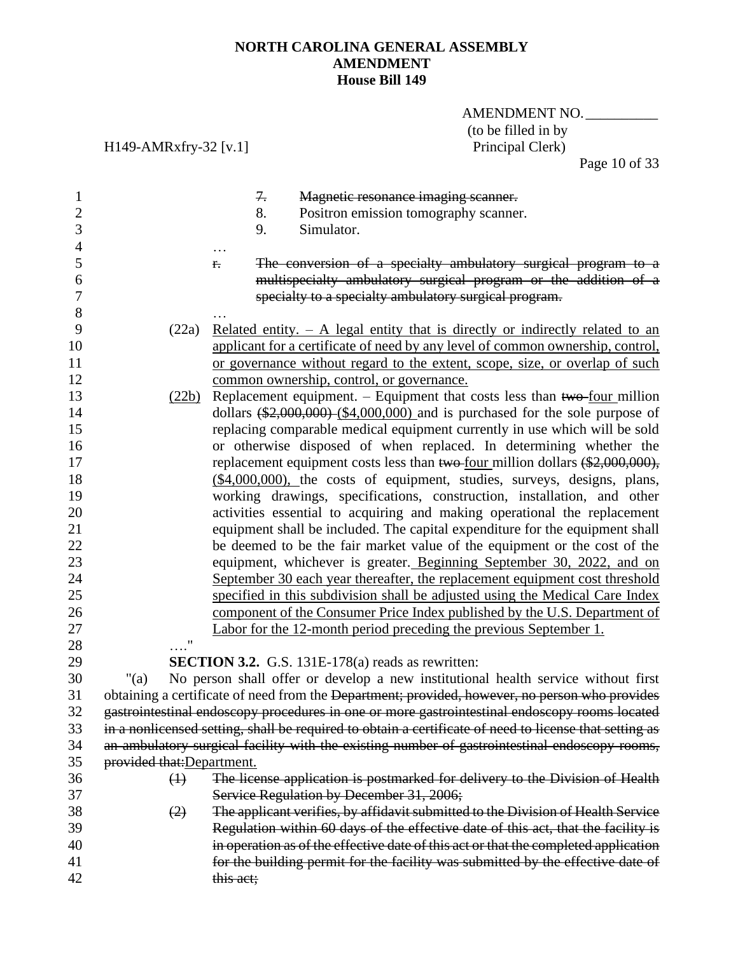H149-AMRxfry-32 [v.1]

## AMENDMENT NO. (to be filled in by<br>Principal Clerk)

Page 10 of 33

| $\mathbf{1}$<br>$\mathbf{2}$<br>3 |                            | 7.<br>Magnetic resonance imaging scanner.<br>8.<br>Positron emission tomography scanner.<br>9.<br>Simulator.                                                                                     |
|-----------------------------------|----------------------------|--------------------------------------------------------------------------------------------------------------------------------------------------------------------------------------------------|
| $\overline{4}$                    |                            |                                                                                                                                                                                                  |
| 5<br>6<br>7                       |                            | The conversion of a specialty ambulatory surgical program to a<br>f.<br>multispecialty ambulatory surgical program or the addition of a<br>specialty to a specialty ambulatory surgical program. |
| $8\,$                             |                            |                                                                                                                                                                                                  |
| 9                                 | (22a)                      | Related entity. $- A$ legal entity that is directly or indirectly related to an                                                                                                                  |
| 10                                |                            | applicant for a certificate of need by any level of common ownership, control,                                                                                                                   |
| 11                                |                            | or governance without regard to the extent, scope, size, or overlap of such                                                                                                                      |
| 12                                |                            | common ownership, control, or governance.                                                                                                                                                        |
| 13                                | (22b)                      | Replacement equipment. $-$ Equipment that costs less than two-four million                                                                                                                       |
| 14                                |                            | dollars $(\frac{$2,000,000}{0.000})$ (\$4,000,000) and is purchased for the sole purpose of                                                                                                      |
| 15<br>16                          |                            | replacing comparable medical equipment currently in use which will be sold<br>or otherwise disposed of when replaced. In determining whether the                                                 |
| 17                                |                            | replacement equipment costs less than two-four million dollars $(\$2,000,000)$ ,                                                                                                                 |
| 18                                |                            | (\$4,000,000), the costs of equipment, studies, surveys, designs, plans,                                                                                                                         |
| 19                                |                            | working drawings, specifications, construction, installation, and other                                                                                                                          |
| 20                                |                            | activities essential to acquiring and making operational the replacement                                                                                                                         |
| 21                                |                            | equipment shall be included. The capital expenditure for the equipment shall                                                                                                                     |
| 22                                |                            | be deemed to be the fair market value of the equipment or the cost of the                                                                                                                        |
| 23                                |                            | equipment, whichever is greater. Beginning September 30, 2022, and on                                                                                                                            |
| 24                                |                            | September 30 each year thereafter, the replacement equipment cost threshold                                                                                                                      |
| 25                                |                            | specified in this subdivision shall be adjusted using the Medical Care Index                                                                                                                     |
| 26                                |                            | component of the Consumer Price Index published by the U.S. Department of                                                                                                                        |
| 27                                |                            | Labor for the 12-month period preceding the previous September 1.                                                                                                                                |
| 28                                | $\mathbf{u}$               |                                                                                                                                                                                                  |
| 29                                |                            | <b>SECTION 3.2.</b> G.S. 131E-178(a) reads as rewritten:                                                                                                                                         |
| 30                                | " $(a)$                    | No person shall offer or develop a new institutional health service without first                                                                                                                |
| 31                                |                            | obtaining a certificate of need from the Department; provided, however, no person who provides                                                                                                   |
| 32                                |                            | gastrointestinal endoscopy procedures in one or more gastrointestinal endoscopy rooms located                                                                                                    |
| 33                                |                            | in a nonlicensed setting, shall be required to obtain a certificate of need to license that setting as                                                                                           |
| 34                                |                            | an ambulatory surgical facility with the existing number of gastrointestinal endoscopy rooms,                                                                                                    |
| 35                                | provided that: Department. |                                                                                                                                                                                                  |
| 36                                | $\bigoplus$                | The license application is postmarked for delivery to the Division of Health                                                                                                                     |
| 37                                |                            | Service Regulation by December 31, 2006;                                                                                                                                                         |
| 38                                | (2)                        | The applicant verifies, by affidavit submitted to the Division of Health Service                                                                                                                 |
| 39                                |                            | Regulation within 60 days of the effective date of this act, that the facility is                                                                                                                |
| 40                                |                            | in operation as of the effective date of this act or that the completed application                                                                                                              |
| 41                                |                            | for the building permit for the facility was submitted by the effective date of                                                                                                                  |
| 42                                |                            | this act;                                                                                                                                                                                        |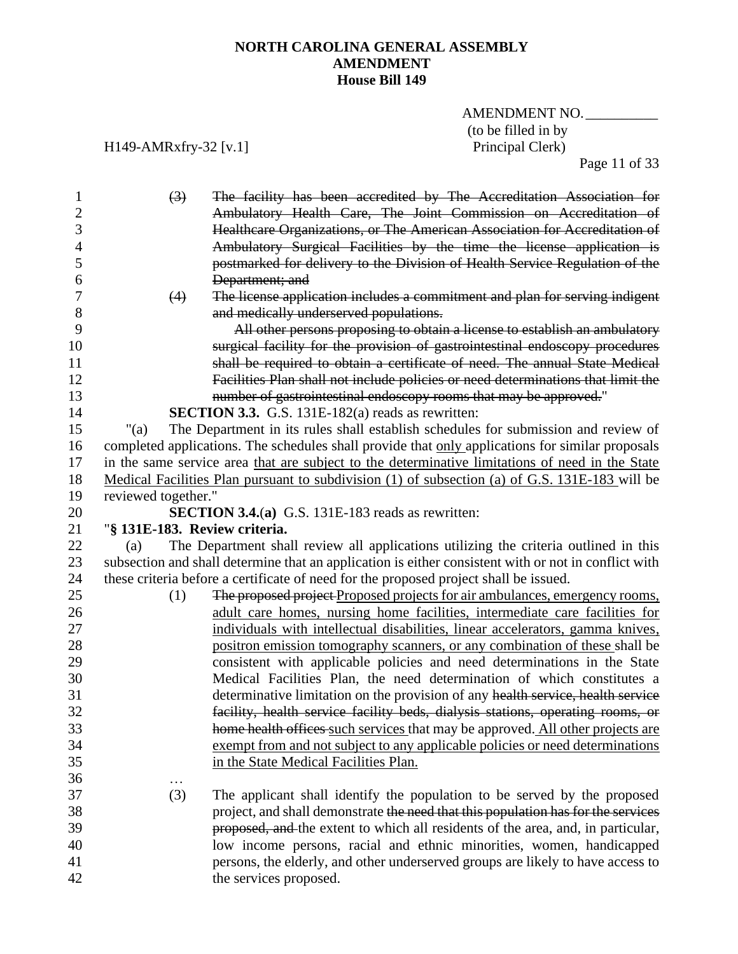AMENDMENT NO. (to be filled in by<br>Principal Clerk)

H149-AMRxfry-32 [v.1]

Page 11 of 33

| 1            | $(3)$<br>The facility has been accredited by The Accreditation Association for                                                                              |
|--------------|-------------------------------------------------------------------------------------------------------------------------------------------------------------|
| $\mathbf{2}$ | Ambulatory Health Care, The Joint Commission on Accreditation of                                                                                            |
| 3            | Healthcare Organizations, or The American Association for Accreditation of                                                                                  |
| 4            | Ambulatory Surgical Facilities by the time the license application is                                                                                       |
| 5            | postmarked for delivery to the Division of Health Service Regulation of the                                                                                 |
| 6            | Department; and                                                                                                                                             |
| 7            | The license application includes a commitment and plan for serving indigent<br>(4)                                                                          |
| 8            | and medically underserved populations.                                                                                                                      |
| 9            | All other persons proposing to obtain a license to establish an ambulatory                                                                                  |
| 10<br>11     | surgical facility for the provision of gastrointestinal endoscopy procedures<br>shall be required to obtain a certificate of need. The annual State Medical |
| 12           | Facilities Plan shall not include policies or need determinations that limit the                                                                            |
| 13           | number of gastrointestinal endoscopy rooms that may be approved."                                                                                           |
| 14           | <b>SECTION 3.3.</b> G.S. 131E-182(a) reads as rewritten:                                                                                                    |
| 15           | " $(a)$<br>The Department in its rules shall establish schedules for submission and review of                                                               |
| 16           | completed applications. The schedules shall provide that only applications for similar proposals                                                            |
| 17           | in the same service area that are subject to the determinative limitations of need in the State                                                             |
| 18           | Medical Facilities Plan pursuant to subdivision (1) of subsection (a) of G.S. 131E-183 will be                                                              |
| 19           | reviewed together."                                                                                                                                         |
| 20           | SECTION 3.4.(a) G.S. 131E-183 reads as rewritten:                                                                                                           |
| 21           | "§ 131E-183. Review criteria.                                                                                                                               |
| 22           | The Department shall review all applications utilizing the criteria outlined in this<br>(a)                                                                 |
| 23           | subsection and shall determine that an application is either consistent with or not in conflict with                                                        |
| 24           | these criteria before a certificate of need for the proposed project shall be issued.                                                                       |
| 25           | The proposed project Proposed projects for air ambulances, emergency rooms,<br>(1)                                                                          |
| 26           | adult care homes, nursing home facilities, intermediate care facilities for                                                                                 |
| 27           | individuals with intellectual disabilities, linear accelerators, gamma knives,                                                                              |
| 28           | positron emission tomography scanners, or any combination of these shall be                                                                                 |
| 29           | consistent with applicable policies and need determinations in the State                                                                                    |
| 30           | Medical Facilities Plan, the need determination of which constitutes a                                                                                      |
| 31           | determinative limitation on the provision of any health service, health service                                                                             |
| 32           | facility, health service facility beds, dialysis stations, operating rooms, or                                                                              |
| 33           | home health offices such services that may be approved. All other projects are                                                                              |
| 34           | exempt from and not subject to any applicable policies or need determinations                                                                               |
| 35           | in the State Medical Facilities Plan.                                                                                                                       |
| 36           | $\cdots$                                                                                                                                                    |
| 37           | (3)<br>The applicant shall identify the population to be served by the proposed                                                                             |
| 38           | project, and shall demonstrate the need that this population has for the services                                                                           |
| 39           | proposed, and the extent to which all residents of the area, and, in particular,                                                                            |
| 40           | low income persons, racial and ethnic minorities, women, handicapped                                                                                        |
|              |                                                                                                                                                             |
| 41<br>42     | persons, the elderly, and other underserved groups are likely to have access to<br>the services proposed.                                                   |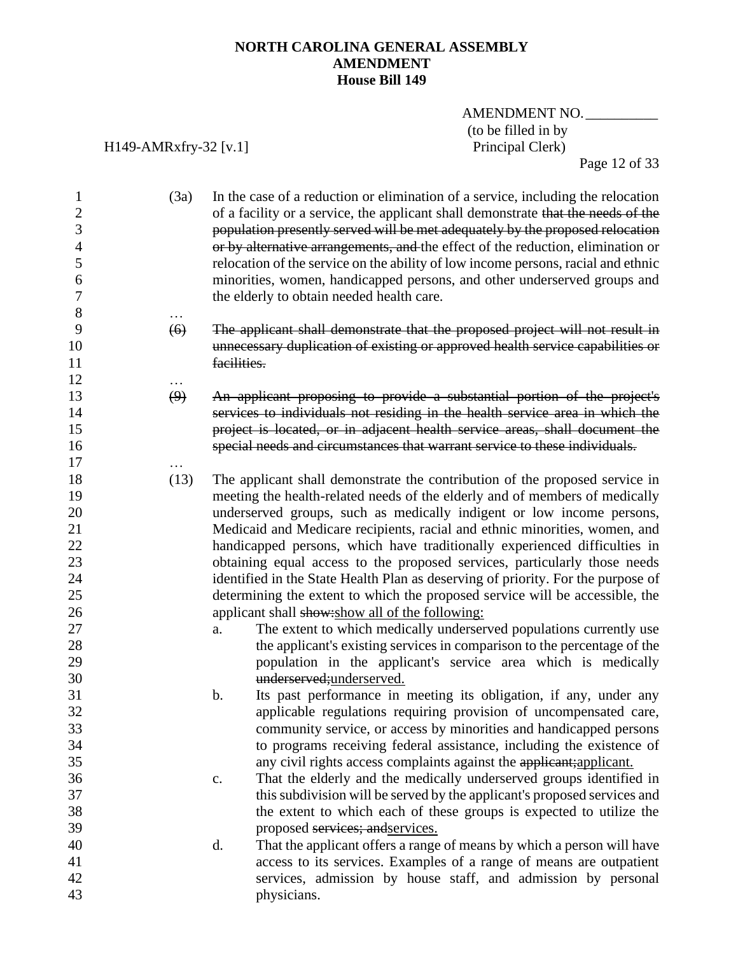## AMENDMENT NO. (to be filled in by<br>Principal Clerk)

H149-AMRxfry-32 [v.1]

Page 12 of 33

| $\mathbf{1}$<br>$\mathbf{2}$<br>3<br>$\overline{4}$ | (3a) | In the case of a reduction or elimination of a service, including the relocation<br>of a facility or a service, the applicant shall demonstrate that the needs of the<br>population presently served will be met adequately by the proposed relocation<br>or by alternative arrangements, and the effect of the reduction, elimination or |
|-----------------------------------------------------|------|-------------------------------------------------------------------------------------------------------------------------------------------------------------------------------------------------------------------------------------------------------------------------------------------------------------------------------------------|
| 5                                                   |      | relocation of the service on the ability of low income persons, racial and ethnic                                                                                                                                                                                                                                                         |
| 6                                                   |      | minorities, women, handicapped persons, and other underserved groups and                                                                                                                                                                                                                                                                  |
| $\boldsymbol{7}$                                    |      | the elderly to obtain needed health care.                                                                                                                                                                                                                                                                                                 |
| 8                                                   |      |                                                                                                                                                                                                                                                                                                                                           |
| 9                                                   | (6)  | The applicant shall demonstrate that the proposed project will not result in                                                                                                                                                                                                                                                              |
| 10                                                  |      | unnecessary duplication of existing or approved health service capabilities or                                                                                                                                                                                                                                                            |
| 11                                                  |      | facilities.                                                                                                                                                                                                                                                                                                                               |
| 12                                                  |      |                                                                                                                                                                                                                                                                                                                                           |
| 13                                                  | (9)  | An applicant proposing to provide a substantial portion of the project's                                                                                                                                                                                                                                                                  |
| 14                                                  |      | services to individuals not residing in the health service area in which the                                                                                                                                                                                                                                                              |
| 15                                                  |      | project is located, or in adjacent health service areas, shall document the                                                                                                                                                                                                                                                               |
| 16                                                  |      | special needs and circumstances that warrant service to these individuals.                                                                                                                                                                                                                                                                |
| 17                                                  |      |                                                                                                                                                                                                                                                                                                                                           |
| 18                                                  | (13) | The applicant shall demonstrate the contribution of the proposed service in                                                                                                                                                                                                                                                               |
| 19                                                  |      | meeting the health-related needs of the elderly and of members of medically                                                                                                                                                                                                                                                               |
| 20                                                  |      | underserved groups, such as medically indigent or low income persons,                                                                                                                                                                                                                                                                     |
| 21                                                  |      | Medicaid and Medicare recipients, racial and ethnic minorities, women, and                                                                                                                                                                                                                                                                |
| 22                                                  |      | handicapped persons, which have traditionally experienced difficulties in                                                                                                                                                                                                                                                                 |
| 23                                                  |      | obtaining equal access to the proposed services, particularly those needs                                                                                                                                                                                                                                                                 |
| 24                                                  |      | identified in the State Health Plan as deserving of priority. For the purpose of                                                                                                                                                                                                                                                          |
| 25                                                  |      | determining the extent to which the proposed service will be accessible, the                                                                                                                                                                                                                                                              |
| 26                                                  |      | applicant shall show: show all of the following:                                                                                                                                                                                                                                                                                          |
| 27                                                  |      | The extent to which medically underserved populations currently use<br>a.                                                                                                                                                                                                                                                                 |
| 28                                                  |      | the applicant's existing services in comparison to the percentage of the                                                                                                                                                                                                                                                                  |
| 29                                                  |      | population in the applicant's service area which is medically                                                                                                                                                                                                                                                                             |
| 30                                                  |      | underserved;underserved.                                                                                                                                                                                                                                                                                                                  |
| 31                                                  |      | $\mathbf b$ .<br>Its past performance in meeting its obligation, if any, under any                                                                                                                                                                                                                                                        |
| 32                                                  |      |                                                                                                                                                                                                                                                                                                                                           |
| 33                                                  |      | applicable regulations requiring provision of uncompensated care,                                                                                                                                                                                                                                                                         |
| 34                                                  |      | community service, or access by minorities and handicapped persons                                                                                                                                                                                                                                                                        |
| 35                                                  |      | to programs receiving federal assistance, including the existence of                                                                                                                                                                                                                                                                      |
| 36                                                  |      | any civil rights access complaints against the applicant; applicant.                                                                                                                                                                                                                                                                      |
| 37                                                  |      | That the elderly and the medically underserved groups identified in<br>$\mathbf{c}$ .                                                                                                                                                                                                                                                     |
| 38                                                  |      | this subdivision will be served by the applicant's proposed services and                                                                                                                                                                                                                                                                  |
| 39                                                  |      | the extent to which each of these groups is expected to utilize the                                                                                                                                                                                                                                                                       |
|                                                     |      | proposed services; and services.                                                                                                                                                                                                                                                                                                          |
| 40<br>41                                            |      | That the applicant offers a range of means by which a person will have<br>d.                                                                                                                                                                                                                                                              |
| 42                                                  |      | access to its services. Examples of a range of means are outpatient<br>services, admission by house staff, and admission by personal                                                                                                                                                                                                      |
| 43                                                  |      |                                                                                                                                                                                                                                                                                                                                           |
|                                                     |      | physicians.                                                                                                                                                                                                                                                                                                                               |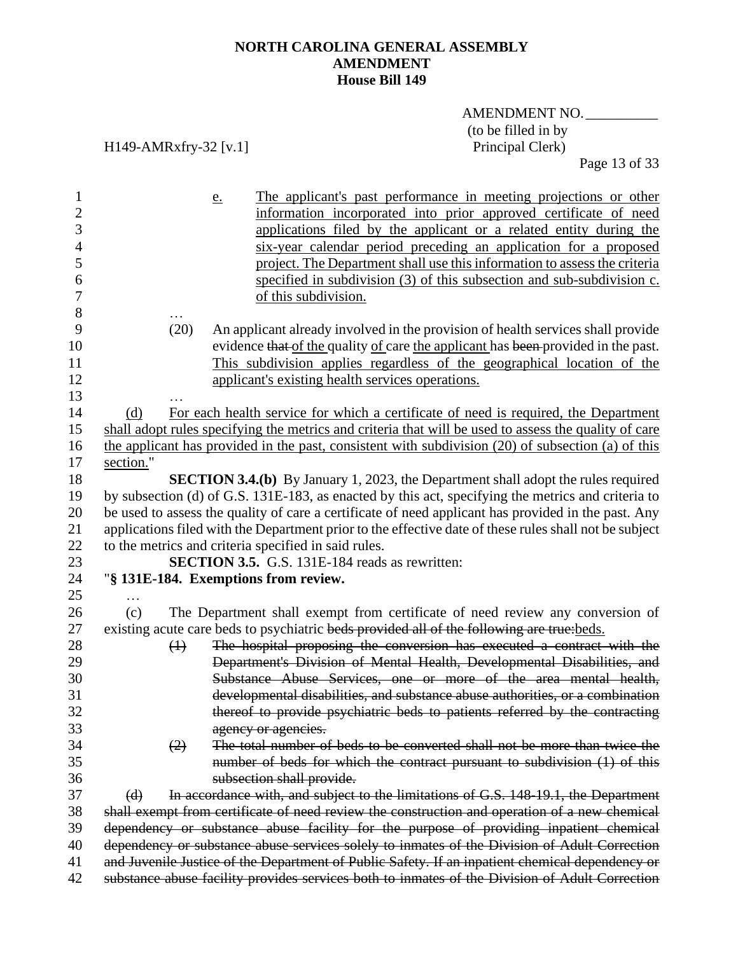# AMENDMENT NO. (to be filled in by<br>Principal Clerk)

H149-AMRxfry-32 [v.1]

Page 13 of 33

| $\mathbf{1}$   |           |                   | The applicant's past performance in meeting projections or other<br>e.                                 |
|----------------|-----------|-------------------|--------------------------------------------------------------------------------------------------------|
| $\overline{c}$ |           |                   | information incorporated into prior approved certificate of need                                       |
| 3              |           |                   | applications filed by the applicant or a related entity during the                                     |
| $\overline{4}$ |           |                   | six-year calendar period preceding an application for a proposed                                       |
| 5              |           |                   | project. The Department shall use this information to assess the criteria                              |
| 6              |           |                   | specified in subdivision (3) of this subsection and sub-subdivision c.                                 |
| $\tau$         |           |                   | of this subdivision.                                                                                   |
| 8              |           |                   |                                                                                                        |
| 9              |           | (20)              | An applicant already involved in the provision of health services shall provide                        |
| 10             |           |                   | evidence that of the quality of care the applicant has been provided in the past.                      |
| 11             |           |                   | This subdivision applies regardless of the geographical location of the                                |
| 12             |           |                   | applicant's existing health services operations.                                                       |
| 13             |           |                   |                                                                                                        |
| 14             | (d)       |                   | For each health service for which a certificate of need is required, the Department                    |
| 15             |           |                   | shall adopt rules specifying the metrics and criteria that will be used to assess the quality of care  |
| 16             |           |                   | the applicant has provided in the past, consistent with subdivision (20) of subsection (a) of this     |
| 17             | section." |                   |                                                                                                        |
| 18             |           |                   | <b>SECTION 3.4.(b)</b> By January 1, 2023, the Department shall adopt the rules required               |
| 19             |           |                   | by subsection (d) of G.S. 131E-183, as enacted by this act, specifying the metrics and criteria to     |
| 20             |           |                   | be used to assess the quality of care a certificate of need applicant has provided in the past. Any    |
| 21             |           |                   | applications filed with the Department prior to the effective date of these rules shall not be subject |
| 22             |           |                   | to the metrics and criteria specified in said rules.                                                   |
| 23             |           |                   | SECTION 3.5. G.S. 131E-184 reads as rewritten:                                                         |
| 24             |           |                   | "§ 131E-184. Exemptions from review.                                                                   |
| 25             |           |                   |                                                                                                        |
| 26             | (c)       |                   | The Department shall exempt from certificate of need review any conversion of                          |
| 27             |           |                   | existing acute care beds to psychiatric beds provided all of the following are true: beds.             |
| 28             |           | $\leftrightarrow$ | The hospital proposing the conversion has executed a contract with the                                 |
| 29             |           |                   | Department's Division of Mental Health, Developmental Disabilities, and                                |
| 30             |           |                   | Substance Abuse Services, one or more of the area mental health,                                       |
| 31             |           |                   | developmental disabilities, and substance abuse authorities, or a combination                          |
| 32             |           |                   | thereof to provide psychiatric beds to patients referred by the contracting                            |
| 33             |           |                   | agency or agencies.                                                                                    |
| 34             |           | (2)               | The total number of beds to be converted shall not be more than twice the                              |
| 35             |           |                   | number of beds for which the contract pursuant to subdivision (1) of this                              |
| 36             |           |                   | subsection shall provide.                                                                              |
| 37             | (d)       |                   | In accordance with, and subject to the limitations of G.S. 148-19.1, the Department                    |
| 38             |           |                   | shall exempt from certificate of need review the construction and operation of a new chemical          |
| 39             |           |                   | dependency or substance abuse facility for the purpose of providing inpatient chemical                 |
| 40             |           |                   | dependency or substance abuse services solely to inmates of the Division of Adult Correction           |
| 41             |           |                   | and Juvenile Justice of the Department of Public Safety. If an inpatient chemical dependency or        |
| 42             |           |                   | substance abuse facility provides services both to inmates of the Division of Adult Correction         |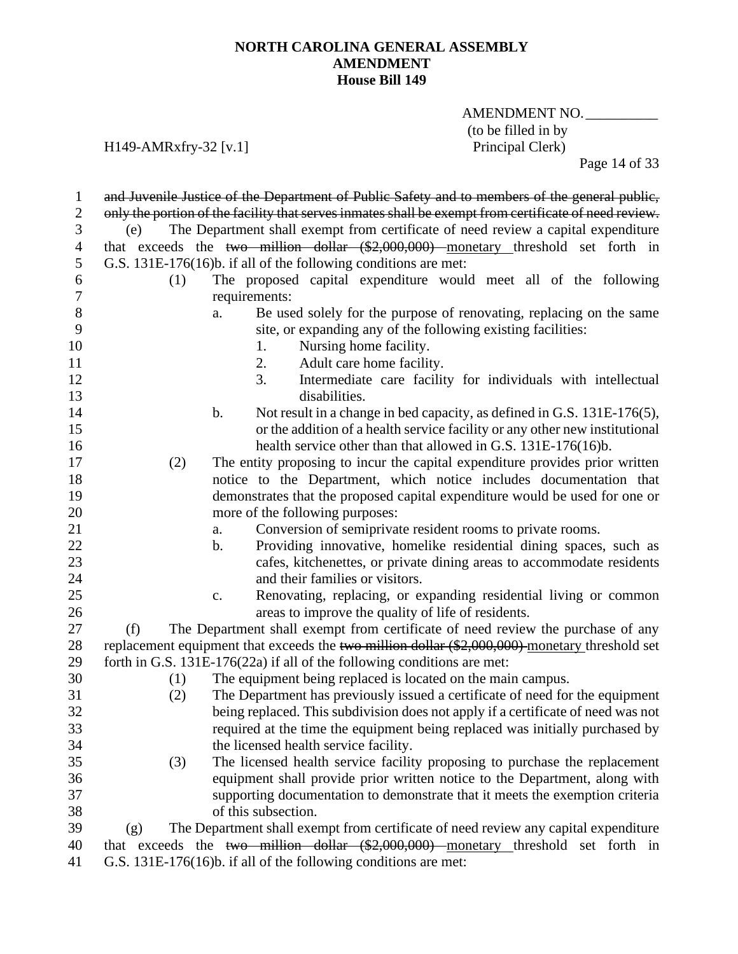AMENDMENT NO. (to be filled in by<br>Principal Clerk)

## H149-AMRxfry-32 [v.1]

Page 14 of 33

| 1                | and Juvenile Justice of the Department of Public Safety and to members of the general public,         |
|------------------|-------------------------------------------------------------------------------------------------------|
| $\mathbf{2}$     | only the portion of the facility that serves inmates shall be exempt from certificate of need review. |
| 3                | The Department shall exempt from certificate of need review a capital expenditure<br>(e)              |
| $\overline{4}$   | that exceeds the two million dollar (\$2,000,000) monetary threshold set forth in                     |
| 5                | G.S. 131E-176(16)b. if all of the following conditions are met:                                       |
| 6                | The proposed capital expenditure would meet all of the following<br>(1)                               |
| $\boldsymbol{7}$ | requirements:                                                                                         |
| 8                | Be used solely for the purpose of renovating, replacing on the same<br>a.                             |
| 9                | site, or expanding any of the following existing facilities:                                          |
| 10               | Nursing home facility.<br>1.                                                                          |
| 11               | 2.<br>Adult care home facility.                                                                       |
| 12               | 3.<br>Intermediate care facility for individuals with intellectual                                    |
| 13               | disabilities.                                                                                         |
| 14               | Not result in a change in bed capacity, as defined in G.S. 131E-176(5),<br>b.                         |
| 15               | or the addition of a health service facility or any other new institutional                           |
| 16               | health service other than that allowed in G.S. 131E-176(16)b.                                         |
| 17               | The entity proposing to incur the capital expenditure provides prior written<br>(2)                   |
| 18               | notice to the Department, which notice includes documentation that                                    |
| 19               | demonstrates that the proposed capital expenditure would be used for one or                           |
| 20               | more of the following purposes:                                                                       |
| 21               | Conversion of semiprivate resident rooms to private rooms.<br>a.                                      |
| 22               | Providing innovative, homelike residential dining spaces, such as<br>b.                               |
| 23               | cafes, kitchenettes, or private dining areas to accommodate residents                                 |
| 24               | and their families or visitors.                                                                       |
| 25               | Renovating, replacing, or expanding residential living or common<br>c.                                |
| 26               | areas to improve the quality of life of residents.                                                    |
| 27               | The Department shall exempt from certificate of need review the purchase of any<br>(f)                |
| 28               | replacement equipment that exceeds the two million dollar (\$2,000,000) monetary threshold set        |
| 29               | forth in G.S. $131E-176(22a)$ if all of the following conditions are met:                             |
| 30               | The equipment being replaced is located on the main campus.<br>(1)                                    |
| 31               | The Department has previously issued a certificate of need for the equipment<br>(2)                   |
| 32               | being replaced. This subdivision does not apply if a certificate of need was not                      |
| 33               | required at the time the equipment being replaced was initially purchased by                          |
| 34               | the licensed health service facility.                                                                 |
| 35               | The licensed health service facility proposing to purchase the replacement<br>(3)                     |
| 36               | equipment shall provide prior written notice to the Department, along with                            |
| 37               | supporting documentation to demonstrate that it meets the exemption criteria                          |
| 38               | of this subsection.                                                                                   |
| 39               | The Department shall exempt from certificate of need review any capital expenditure<br>(g)            |
| 40               | that exceeds the two million dollar $(\$2,000,000)$ monetary threshold set forth in                   |
| 41               | G.S. 131E-176(16)b. if all of the following conditions are met:                                       |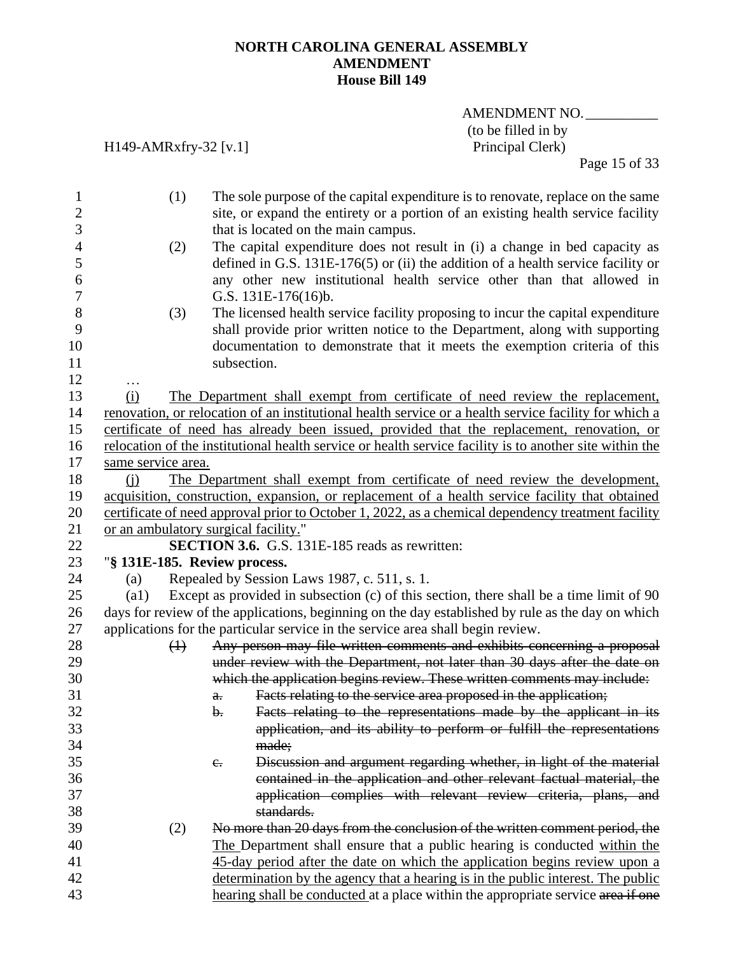AMENDMENT NO. (to be filled in by<br>Principal Clerk)

H149-AMRxfry-32 [v.1]

Page 15 of 33

| $\mathbf{1}$             |                    | (1)               | The sole purpose of the capital expenditure is to renovate, replace on the same                                         |
|--------------------------|--------------------|-------------------|-------------------------------------------------------------------------------------------------------------------------|
| $\boldsymbol{2}$<br>3    |                    |                   | site, or expand the entirety or a portion of an existing health service facility<br>that is located on the main campus. |
| $\overline{\mathcal{A}}$ |                    | (2)               | The capital expenditure does not result in (i) a change in bed capacity as                                              |
| 5                        |                    |                   | defined in G.S. $131E-176(5)$ or (ii) the addition of a health service facility or                                      |
| 6                        |                    |                   | any other new institutional health service other than that allowed in                                                   |
| $\boldsymbol{7}$         |                    |                   | G.S. 131E-176(16)b.                                                                                                     |
| 8                        |                    | (3)               | The licensed health service facility proposing to incur the capital expenditure                                         |
| 9                        |                    |                   | shall provide prior written notice to the Department, along with supporting                                             |
| 10                       |                    |                   | documentation to demonstrate that it meets the exemption criteria of this                                               |
| 11                       |                    |                   | subsection.                                                                                                             |
| 12                       |                    |                   |                                                                                                                         |
| 13                       | (i)                |                   | The Department shall exempt from certificate of need review the replacement,                                            |
| 14                       |                    |                   | renovation, or relocation of an institutional health service or a health service facility for which a                   |
| 15                       |                    |                   | certificate of need has already been issued, provided that the replacement, renovation, or                              |
| 16                       |                    |                   | relocation of the institutional health service or health service facility is to another site within the                 |
| 17                       | same service area. |                   |                                                                                                                         |
| 18                       | (i)                |                   | The Department shall exempt from certificate of need review the development,                                            |
| 19                       |                    |                   | acquisition, construction, expansion, or replacement of a health service facility that obtained                         |
| 20                       |                    |                   | certificate of need approval prior to October 1, 2022, as a chemical dependency treatment facility                      |
| 21                       |                    |                   | or an ambulatory surgical facility."                                                                                    |
| 22                       |                    |                   | <b>SECTION 3.6.</b> G.S. 131E-185 reads as rewritten:                                                                   |
| 23                       |                    |                   | "§ 131E-185. Review process.                                                                                            |
| 24                       | (a)                |                   | Repealed by Session Laws 1987, c. 511, s. 1.                                                                            |
| 25                       | $\left( a1\right)$ |                   | Except as provided in subsection (c) of this section, there shall be a time limit of 90                                 |
| 26                       |                    |                   | days for review of the applications, beginning on the day established by rule as the day on which                       |
| 27                       |                    |                   | applications for the particular service in the service area shall begin review.                                         |
| 28                       |                    | $\leftrightarrow$ | Any person may file written comments and exhibits concerning a proposal                                                 |
| 29                       |                    |                   | under review with the Department, not later than 30 days after the date on                                              |
| 30                       |                    |                   | which the application begins review. These written comments may include:                                                |
| 31                       |                    |                   | Facts relating to the service area proposed in the application;<br>$a$ .                                                |
| 32                       |                    |                   | Facts relating to the representations made by the applicant in its<br>b.                                                |
| 33                       |                    |                   | application, and its ability to perform or fulfill the representations                                                  |
| 34                       |                    |                   | made;                                                                                                                   |
| 35                       |                    |                   | Discussion and argument regarding whether, in light of the material<br>e.                                               |
| 36                       |                    |                   | contained in the application and other relevant factual material, the                                                   |
| 37                       |                    |                   | application complies with relevant review criteria, plans, and                                                          |
| 38                       |                    |                   | standards.                                                                                                              |
| 39                       |                    | (2)               | No more than 20 days from the conclusion of the written comment period, the                                             |
| 40                       |                    |                   | The Department shall ensure that a public hearing is conducted within the                                               |
| 41                       |                    |                   | 45-day period after the date on which the application begins review upon a                                              |
| 42                       |                    |                   | determination by the agency that a hearing is in the public interest. The public                                        |
| 43                       |                    |                   | hearing shall be conducted at a place within the appropriate service area if one                                        |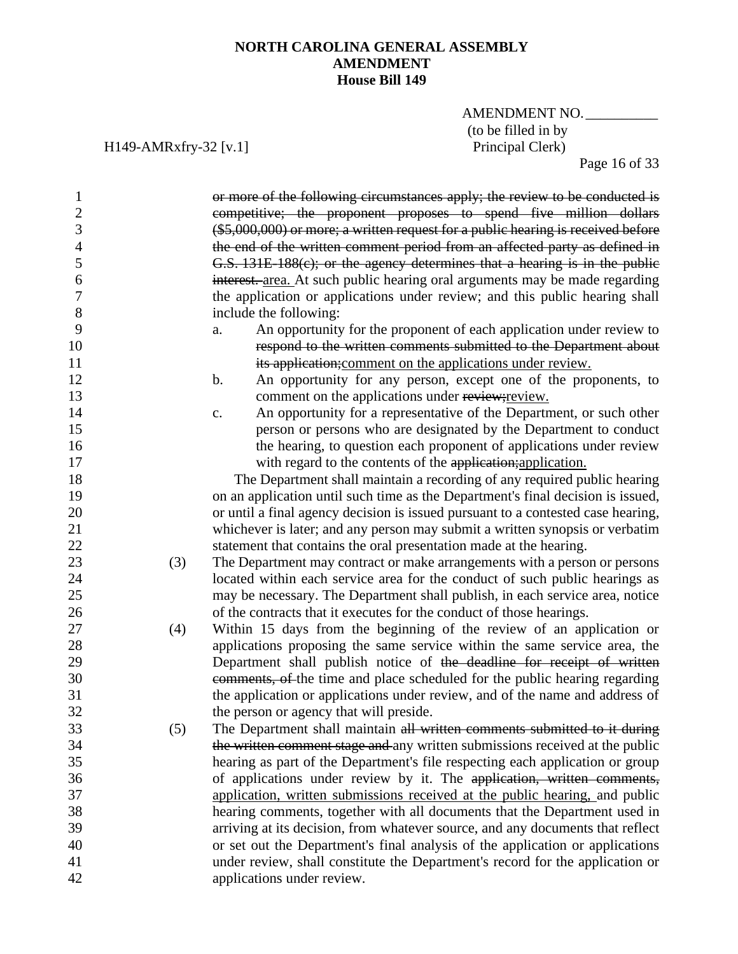AMENDMENT NO. (to be filled in by<br>Principal Clerk)

H149-AMRxfry-32 [v.1]

Page 16 of 33

| 1              |     | or more of the following circumstances apply; the review to be conducted is       |
|----------------|-----|-----------------------------------------------------------------------------------|
| $\mathfrak{2}$ |     | competitive; the proponent proposes to spend five million dollars                 |
| 3              |     | $(*5,000,000)$ or more; a written request for a public hearing is received before |
| $\overline{4}$ |     | the end of the written comment period from an affected party as defined in        |
|                |     |                                                                                   |
| 5              |     | G.S. 131E-188(c); or the agency determines that a hearing is in the public        |
| 6              |     | interest. area. At such public hearing oral arguments may be made regarding       |
| 7              |     | the application or applications under review; and this public hearing shall       |
| 8              |     | include the following:                                                            |
| 9              |     | An opportunity for the proponent of each application under review to<br>a.        |
| 10             |     | respond to the written comments submitted to the Department about                 |
| 11             |     | its application; comment on the applications under review.                        |
| 12             |     | b.<br>An opportunity for any person, except one of the proponents, to             |
| 13             |     | comment on the applications under review; review.                                 |
| 14             |     | An opportunity for a representative of the Department, or such other<br>c.        |
| 15             |     | person or persons who are designated by the Department to conduct                 |
| 16             |     | the hearing, to question each proponent of applications under review              |
| 17             |     | with regard to the contents of the application; application.                      |
| 18             |     | The Department shall maintain a recording of any required public hearing          |
| 19             |     | on an application until such time as the Department's final decision is issued,   |
| 20             |     | or until a final agency decision is issued pursuant to a contested case hearing,  |
| 21             |     | whichever is later; and any person may submit a written synopsis or verbatim      |
| 22             |     | statement that contains the oral presentation made at the hearing.                |
| 23             | (3) | The Department may contract or make arrangements with a person or persons         |
| 24             |     | located within each service area for the conduct of such public hearings as       |
| 25             |     | may be necessary. The Department shall publish, in each service area, notice      |
| 26             |     | of the contracts that it executes for the conduct of those hearings.              |
| 27             | (4) | Within 15 days from the beginning of the review of an application or              |
| 28             |     | applications proposing the same service within the same service area, the         |
| 29             |     | Department shall publish notice of the deadline for receipt of written            |
| 30             |     | comments, of the time and place scheduled for the public hearing regarding        |
| 31             |     | the application or applications under review, and of the name and address of      |
| 32             |     | the person or agency that will preside.                                           |
| 33             | (5) | The Department shall maintain all written comments submitted to it during         |
| 34             |     |                                                                                   |
| 35             |     | the written comment stage and any written submissions received at the public      |
|                |     | hearing as part of the Department's file respecting each application or group     |
| 36             |     | of applications under review by it. The application, written comments,            |
| 37             |     | application, written submissions received at the public hearing, and public       |
| 38             |     | hearing comments, together with all documents that the Department used in         |
| 39             |     | arriving at its decision, from whatever source, and any documents that reflect    |
| 40             |     | or set out the Department's final analysis of the application or applications     |
| 41             |     | under review, shall constitute the Department's record for the application or     |
| 42             |     | applications under review.                                                        |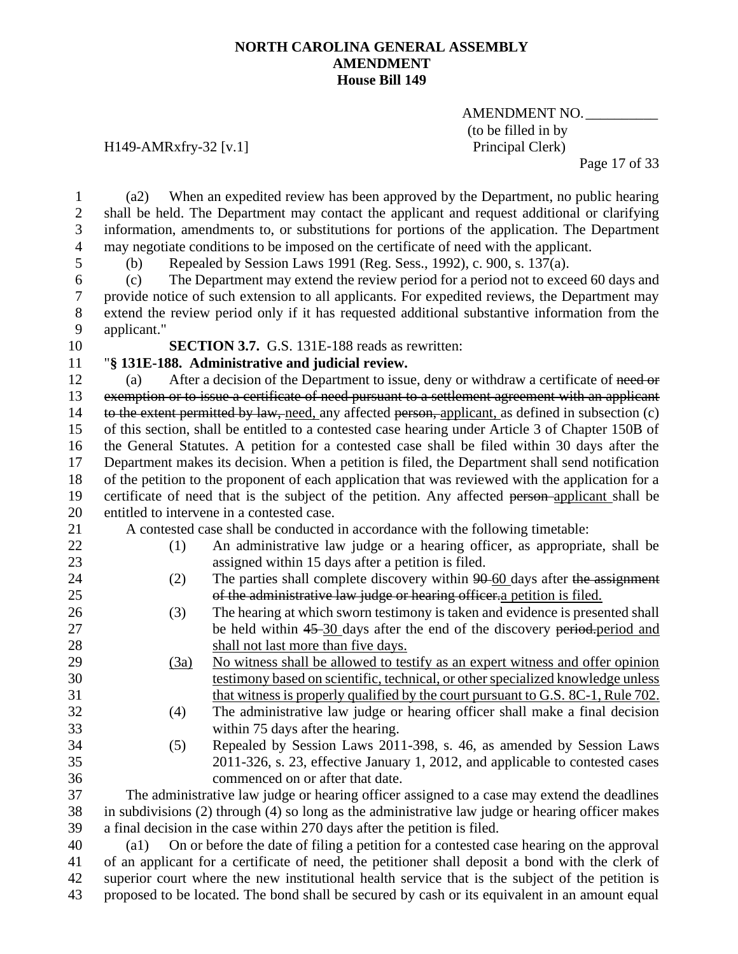AMENDMENT NO.\_\_\_\_\_\_\_\_\_\_ (to be filled in by

H149-AMRxfry-32 [v.1] Principal Clerk)

Page 17 of 33

 (a2) When an expedited review has been approved by the Department, no public hearing shall be held. The Department may contact the applicant and request additional or clarifying information, amendments to, or substitutions for portions of the application. The Department may negotiate conditions to be imposed on the certificate of need with the applicant.

(b) Repealed by Session Laws 1991 (Reg. Sess., 1992), c. 900, s. 137(a).

 (c) The Department may extend the review period for a period not to exceed 60 days and provide notice of such extension to all applicants. For expedited reviews, the Department may extend the review period only if it has requested additional substantive information from the applicant."

**SECTION 3.7.** G.S. 131E-188 reads as rewritten:

"**§ 131E-188. Administrative and judicial review.**

12 (a) After a decision of the Department to issue, deny or withdraw a certificate of need or exemption or to issue a certificate of need pursuant to a settlement agreement with an applicant 14 to the extent permitted by law, need, any affected person, applicant, as defined in subsection (c) of this section, shall be entitled to a contested case hearing under Article 3 of Chapter 150B of the General Statutes. A petition for a contested case shall be filed within 30 days after the Department makes its decision. When a petition is filed, the Department shall send notification of the petition to the proponent of each application that was reviewed with the application for a 19 certificate of need that is the subject of the petition. Any affected person-applicant shall be entitled to intervene in a contested case.

(1) An administrative law judge or a hearing officer, as appropriate, shall be

27 be held within 45-30 days after the end of the discovery period.

A contested case shall be conducted in accordance with the following timetable:

- assigned within 15 days after a petition is filed.
- 24 (2) The parties shall complete discovery within 90-60 days after the assignment
- of the administrative law judge or hearing officer.a petition is filed.
- (3) The hearing at which sworn testimony is taken and evidence is presented shall
- 28 shall not last more than five days.
- (3a) No witness shall be allowed to testify as an expert witness and offer opinion
- 
- 
- 

 testimony based on scientific, technical, or other specialized knowledge unless that witness is properly qualified by the court pursuant to G.S. 8C-1, Rule 702. (4) The administrative law judge or hearing officer shall make a final decision within 75 days after the hearing.

 (5) Repealed by Session Laws 2011-398, s. 46, as amended by Session Laws 2011-326, s. 23, effective January 1, 2012, and applicable to contested cases commenced on or after that date.

 The administrative law judge or hearing officer assigned to a case may extend the deadlines in subdivisions (2) through (4) so long as the administrative law judge or hearing officer makes a final decision in the case within 270 days after the petition is filed.

 (a1) On or before the date of filing a petition for a contested case hearing on the approval of an applicant for a certificate of need, the petitioner shall deposit a bond with the clerk of superior court where the new institutional health service that is the subject of the petition is proposed to be located. The bond shall be secured by cash or its equivalent in an amount equal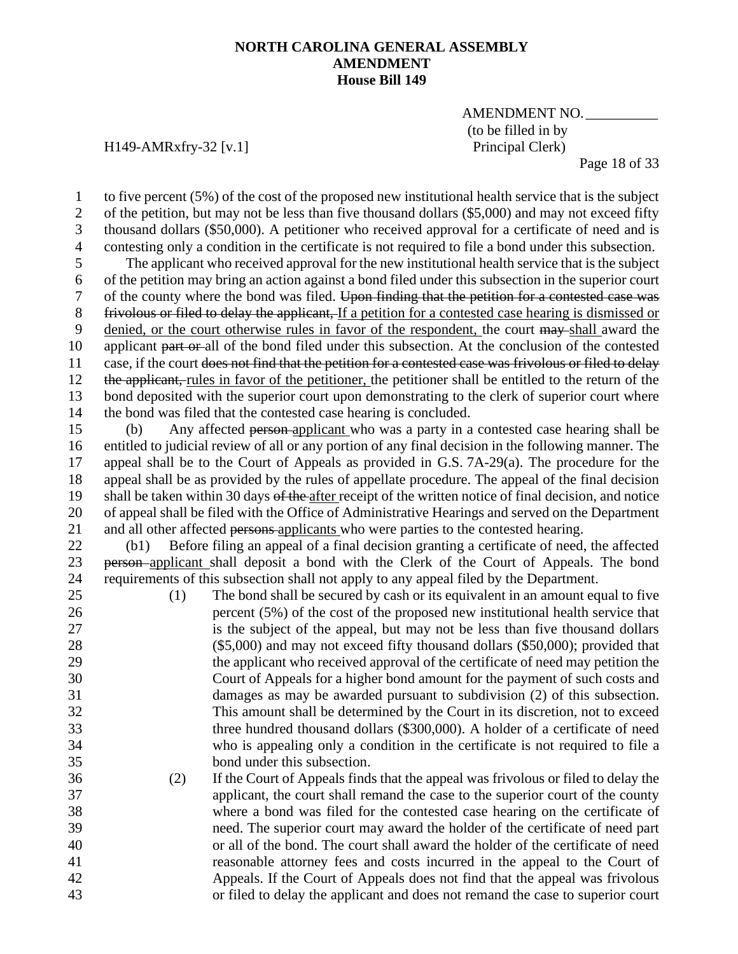## AMENDMENT NO.\_\_\_\_\_\_\_\_\_\_ (to be filled in by

H149-AMRxfry-32 [v.1] Principal Clerk)

Page 18 of 33

1 to five percent (5%) of the cost of the proposed new institutional health service that is the subject<br>2 of the petition, but may not be less than five thousand dollars (\$5,000) and may not exceed fifty of the petition, but may not be less than five thousand dollars (\$5,000) and may not exceed fifty thousand dollars (\$50,000). A petitioner who received approval for a certificate of need and is contesting only a condition in the certificate is not required to file a bond under this subsection. The applicant who received approval for the new institutional health service that is the subject of the petition may bring an action against a bond filed under this subsection in the superior court of the county where the bond was filed. Upon finding that the petition for a contested case was frivolous or filed to delay the applicant, If a petition for a contested case hearing is dismissed or denied, or the court otherwise rules in favor of the respondent, the court may shall award the 10 applicant part or all of the bond filed under this subsection. At the conclusion of the contested 11 case, if the court does not find that the petition for a contested case was frivolous or filed to delay 12 the applicant, rules in favor of the petitioner, the petitioner shall be entitled to the return of the bond deposited with the superior court upon demonstrating to the clerk of superior court where the bond was filed that the contested case hearing is concluded. (b) Any affected person applicant who was a party in a contested case hearing shall be entitled to judicial review of all or any portion of any final decision in the following manner. The appeal shall be to the Court of Appeals as provided in G.S. 7A-29(a). The procedure for the appeal shall be as provided by the rules of appellate procedure. The appeal of the final decision 19 shall be taken within 30 days of the after receipt of the written notice of final decision, and notice of appeal shall be filed with the Office of Administrative Hearings and served on the Department 21 and all other affected persons applicants who were parties to the contested hearing. (b1) Before filing an appeal of a final decision granting a certificate of need, the affected 23 person applicant shall deposit a bond with the Clerk of the Court of Appeals. The bond requirements of this subsection shall not apply to any appeal filed by the Department. (1) The bond shall be secured by cash or its equivalent in an amount equal to five percent (5%) of the cost of the proposed new institutional health service that is the subject of the appeal, but may not be less than five thousand dollars (\$5,000) and may not exceed fifty thousand dollars (\$50,000); provided that

- the applicant who received approval of the certificate of need may petition the Court of Appeals for a higher bond amount for the payment of such costs and damages as may be awarded pursuant to subdivision (2) of this subsection. This amount shall be determined by the Court in its discretion, not to exceed three hundred thousand dollars (\$300,000). A holder of a certificate of need who is appealing only a condition in the certificate is not required to file a bond under this subsection.
- (2) If the Court of Appeals finds that the appeal was frivolous or filed to delay the applicant, the court shall remand the case to the superior court of the county where a bond was filed for the contested case hearing on the certificate of need. The superior court may award the holder of the certificate of need part or all of the bond. The court shall award the holder of the certificate of need reasonable attorney fees and costs incurred in the appeal to the Court of Appeals. If the Court of Appeals does not find that the appeal was frivolous or filed to delay the applicant and does not remand the case to superior court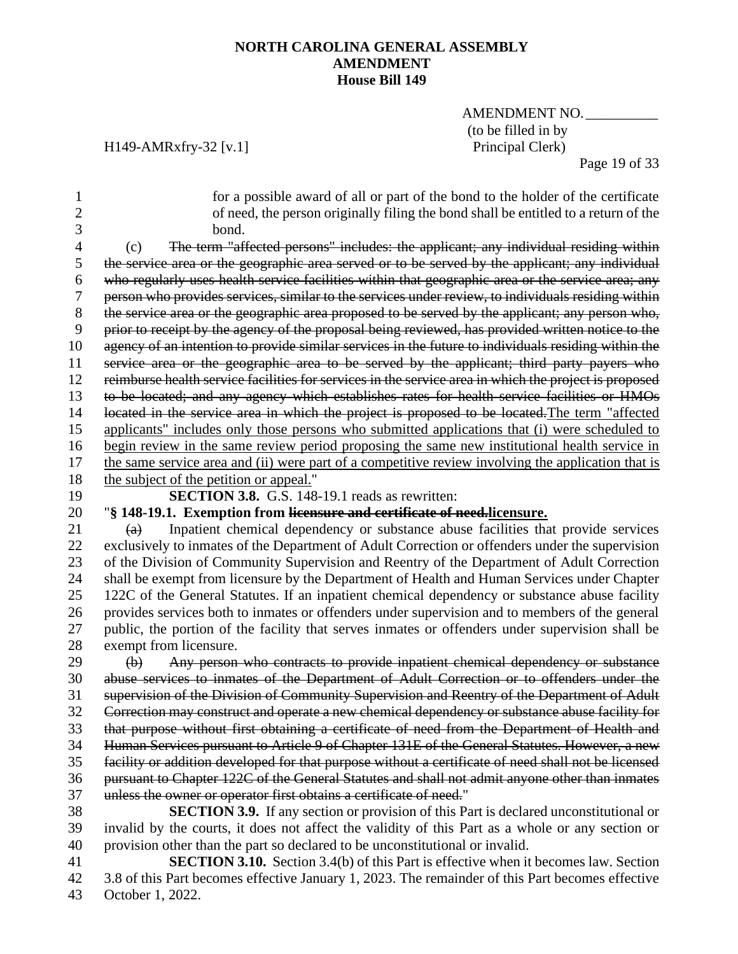AMENDMENT NO.\_\_\_\_\_\_\_\_\_\_ (to be filled in by<br>Principal Clerk)

## H149-AMRxfry-32 [v.1]

43 October 1, 2022.

Page 19 of 33

| 1              | for a possible award of all or part of the bond to the holder of the certificate                      |
|----------------|-------------------------------------------------------------------------------------------------------|
| $\overline{2}$ | of need, the person originally filing the bond shall be entitled to a return of the                   |
| 3              | bond.                                                                                                 |
| 4              | The term "affected persons" includes: the applicant; any individual residing within<br>(c)            |
| 5              | the service area or the geographic area served or to be served by the applicant; any individual       |
| 6              | who regularly uses health service facilities within that geographic area or the service area; any     |
| 7              | person who provides services, similar to the services under review, to individuals residing within    |
| 8              | the service area or the geographic area proposed to be served by the applicant; any person who,       |
| 9              | prior to receipt by the agency of the proposal being reviewed, has provided written notice to the     |
| 10             | agency of an intention to provide similar services in the future to individuals residing within the   |
| 11             | service area or the geographic area to be served by the applicant; third party payers who             |
| 12             | reimburse health service facilities for services in the service area in which the project is proposed |
| 13             | to be located; and any agency which establishes rates for health service facilities or HMOs           |
| 14             | located in the service area in which the project is proposed to be located. The term "affected        |
| 15             | applicants" includes only those persons who submitted applications that (i) were scheduled to         |
| 16             | begin review in the same review period proposing the same new institutional health service in         |
| 17             | the same service area and (ii) were part of a competitive review involving the application that is    |
| 18             | the subject of the petition or appeal."                                                               |
| 19             | <b>SECTION 3.8.</b> G.S. 148-19.1 reads as rewritten:                                                 |
| 20             | "§ 148-19.1. Exemption from licensure and certificate of need.licensure.                              |
| 21             | Inpatient chemical dependency or substance abuse facilities that provide services<br>(a)              |
| 22             | exclusively to inmates of the Department of Adult Correction or offenders under the supervision       |
| 23             | of the Division of Community Supervision and Reentry of the Department of Adult Correction            |
| 24             | shall be exempt from licensure by the Department of Health and Human Services under Chapter           |
| 25             | 122C of the General Statutes. If an inpatient chemical dependency or substance abuse facility         |
| 26             | provides services both to inmates or offenders under supervision and to members of the general        |
| 27             | public, the portion of the facility that serves inmates or offenders under supervision shall be       |
| 28             | exempt from licensure.                                                                                |
| 29             | Any person who contracts to provide inpatient chemical dependency or substance<br>$\bigoplus$         |
| 30             | abuse services to inmates of the Department of Adult Correction or to offenders under the             |
| 31             | supervision of the Division of Community Supervision and Reentry of the Department of Adult           |
| 32             | Correction may construct and operate a new chemical dependency or substance abuse facility for        |
| 33             | that purpose without first obtaining a certificate of need from the Department of Health and          |
| 34             | Human Services pursuant to Article 9 of Chapter 131E of the General Statutes. However, a new          |
| 35             | facility or addition developed for that purpose without a certificate of need shall not be licensed   |
| 36             | pursuant to Chapter 122C of the General Statutes and shall not admit anyone other than inmates        |
| 37             | unless the owner or operator first obtains a certificate of need."                                    |
| 38             | <b>SECTION 3.9.</b> If any section or provision of this Part is declared unconstitutional or          |
| 39             | invalid by the courts, it does not affect the validity of this Part as a whole or any section or      |
| 40             | provision other than the part so declared to be unconstitutional or invalid.                          |
| 41             | <b>SECTION 3.10.</b> Section 3.4(b) of this Part is effective when it becomes law. Section            |
| 42             | 3.8 of this Part becomes effective January 1, 2023. The remainder of this Part becomes effective      |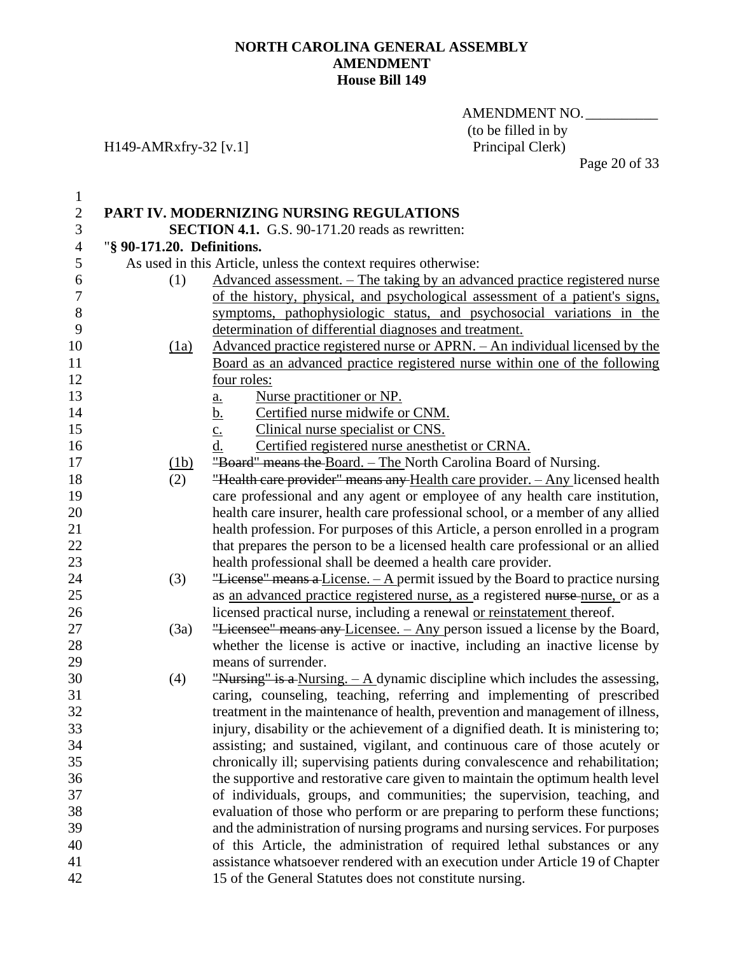AMENDMENT NO. (to be filled in by<br>Principal Clerk)

## H149-AMRxfry-32 [v.1]

| $\mathbf{1}$   |                                                        |                                                                                    |  |  |  |
|----------------|--------------------------------------------------------|------------------------------------------------------------------------------------|--|--|--|
| $\overline{2}$ | PART IV. MODERNIZING NURSING REGULATIONS               |                                                                                    |  |  |  |
| 3              | <b>SECTION 4.1.</b> G.S. 90-171.20 reads as rewritten: |                                                                                    |  |  |  |
| $\overline{4}$ | "§ 90-171.20. Definitions.                             |                                                                                    |  |  |  |
| 5              |                                                        | As used in this Article, unless the context requires otherwise:                    |  |  |  |
| 6              | (1)                                                    | <u>Advanced assessment. – The taking by an advanced practice registered nurse</u>  |  |  |  |
| $\overline{7}$ |                                                        | of the history, physical, and psychological assessment of a patient's signs,       |  |  |  |
| $8\,$          |                                                        | symptoms, pathophysiologic status, and psychosocial variations in the              |  |  |  |
| 9              |                                                        | determination of differential diagnoses and treatment.                             |  |  |  |
| 10             | $\frac{(1a)}{2}$                                       | <u>Advanced practice registered nurse or APRN. – An individual licensed by the</u> |  |  |  |
| 11             |                                                        | Board as an advanced practice registered nurse within one of the following         |  |  |  |
| 12             |                                                        | four roles:                                                                        |  |  |  |
| 13             |                                                        | Nurse practitioner or NP.                                                          |  |  |  |
| 14             |                                                        | $\frac{a}{b}$ .<br>Certified nurse midwife or CNM.                                 |  |  |  |
| 15             |                                                        | Clinical nurse specialist or CNS.<br>$\overline{c}$ .                              |  |  |  |
| 16             |                                                        | d.<br>Certified registered nurse anesthetist or CRNA.                              |  |  |  |
| 17             | (1b)                                                   | "Board" means the Board. - The North Carolina Board of Nursing.                    |  |  |  |
| 18             | (2)                                                    | "Health care provider" means any Health care provider. - Any licensed health       |  |  |  |
| 19             |                                                        | care professional and any agent or employee of any health care institution,        |  |  |  |
| 20             |                                                        | health care insurer, health care professional school, or a member of any allied    |  |  |  |
| 21             |                                                        | health profession. For purposes of this Article, a person enrolled in a program    |  |  |  |
| 22             |                                                        | that prepares the person to be a licensed health care professional or an allied    |  |  |  |
| 23             |                                                        | health professional shall be deemed a health care provider.                        |  |  |  |
| 24             | (3)                                                    | "License" means a License. - A permit issued by the Board to practice nursing      |  |  |  |
| 25             |                                                        | as an advanced practice registered nurse, as a registered nurse-nurse, or as a     |  |  |  |
| 26             |                                                        | licensed practical nurse, including a renewal <u>or reinstatement</u> thereof.     |  |  |  |
| 27             | (3a)                                                   | "Licensee" means any Licensee. - Any person issued a license by the Board,         |  |  |  |
| 28             |                                                        | whether the license is active or inactive, including an inactive license by        |  |  |  |
| 29             |                                                        | means of surrender.                                                                |  |  |  |
| 30             | (4)                                                    | "Nursing" is a Nursing. $- A$ dynamic discipline which includes the assessing,     |  |  |  |
| 31             |                                                        | caring, counseling, teaching, referring and implementing of prescribed             |  |  |  |
| 32             |                                                        | treatment in the maintenance of health, prevention and management of illness,      |  |  |  |
| 33             |                                                        | injury, disability or the achievement of a dignified death. It is ministering to;  |  |  |  |
| 34             |                                                        | assisting; and sustained, vigilant, and continuous care of those acutely or        |  |  |  |
| 35             |                                                        | chronically ill; supervising patients during convalescence and rehabilitation;     |  |  |  |
| 36             |                                                        | the supportive and restorative care given to maintain the optimum health level     |  |  |  |
| 37             |                                                        | of individuals, groups, and communities; the supervision, teaching, and            |  |  |  |
| 38             |                                                        | evaluation of those who perform or are preparing to perform these functions;       |  |  |  |
| 39             |                                                        | and the administration of nursing programs and nursing services. For purposes      |  |  |  |
| 40             |                                                        | of this Article, the administration of required lethal substances or any           |  |  |  |
| 41             |                                                        | assistance whatsoever rendered with an execution under Article 19 of Chapter       |  |  |  |
| 42             |                                                        | 15 of the General Statutes does not constitute nursing.                            |  |  |  |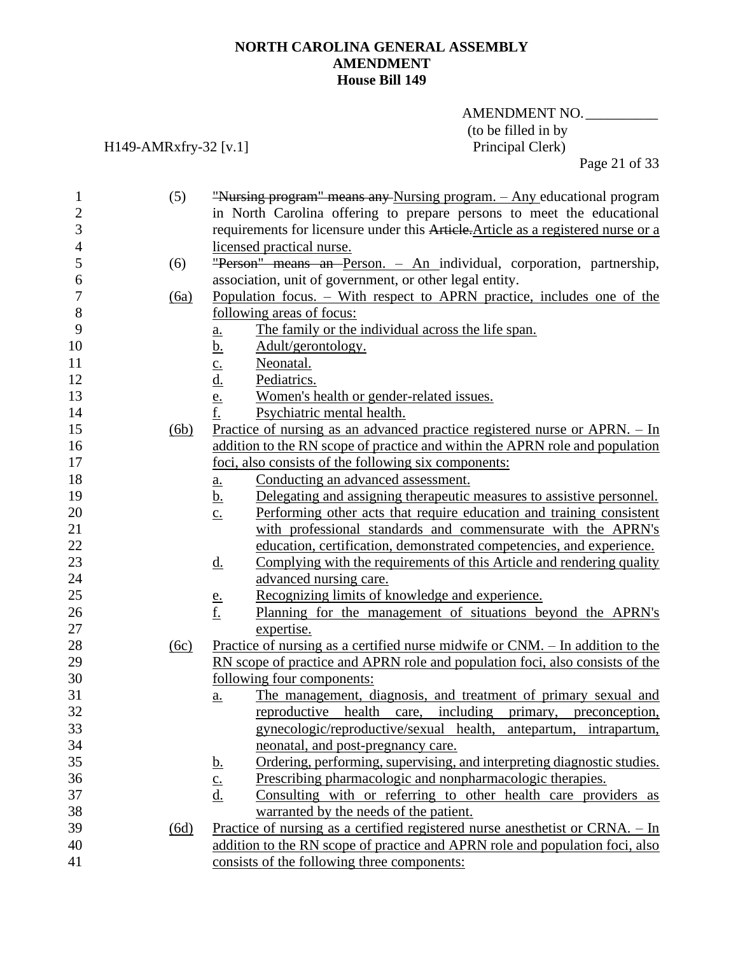## AMENDMENT NO. (to be filled in by<br>Principal Clerk)

H149-AMRxfry-32 [v.1]

Page 21 of 33

| $\mathbf{1}$   | (5)  | "Nursing program" means any Nursing program. - Any educational program                          |
|----------------|------|-------------------------------------------------------------------------------------------------|
| $\overline{2}$ |      | in North Carolina offering to prepare persons to meet the educational                           |
| 3              |      | requirements for licensure under this Article. Article as a registered nurse or a               |
| $\overline{4}$ |      | licensed practical nurse.                                                                       |
| 5              | (6)  | "Person" means an Person. - An individual, corporation, partnership,                            |
| 6              |      | association, unit of government, or other legal entity.                                         |
| 7              | (6a) | Population focus. – With respect to APRN practice, includes one of the                          |
| $\, 8$         |      | following areas of focus:                                                                       |
| 9              |      | The family or the individual across the life span.<br>$\underline{\mathbf{a}}$ .                |
| 10             |      | <u>b.</u><br>Adult/gerontology.                                                                 |
| 11             |      | Neonatal.                                                                                       |
| 12             |      | $\frac{c}{d}$<br>Pediatrics.                                                                    |
| 13             |      | Women's health or gender-related issues.                                                        |
| 14             |      | $\frac{e}{f}$ .<br>Psychiatric mental health.                                                   |
| 15             | (6b) | Practice of nursing as an advanced practice registered nurse or $APRN. - In$                    |
| 16             |      | addition to the RN scope of practice and within the APRN role and population                    |
| 17             |      | foci, also consists of the following six components:                                            |
| 18             |      | Conducting an advanced assessment.                                                              |
| 19             |      | <u>a.</u><br><u>b.</u><br>Delegating and assigning therapeutic measures to assistive personnel. |
| 20             |      | Performing other acts that require education and training consistent                            |
| 21             |      | $\underline{c}$ .<br>with professional standards and commensurate with the APRN's               |
| 22             |      |                                                                                                 |
|                |      | education, certification, demonstrated competencies, and experience.                            |
| 23<br>24       |      | Complying with the requirements of this Article and rendering quality<br><u>d.</u>              |
|                |      | advanced nursing care.                                                                          |
| 25             |      | Recognizing limits of knowledge and experience.<br><u>e.</u>                                    |
| 26             |      | <u>f.</u><br>Planning for the management of situations beyond the APRN's                        |
| 27             |      | expertise.                                                                                      |
| 28             | (6c) | <u>Practice of nursing as a certified nurse midwife or CNM. – In addition to the</u>            |
| 29             |      | RN scope of practice and APRN role and population foci, also consists of the                    |
| 30             |      | following four components:                                                                      |
| 31             |      | The management, diagnosis, and treatment of primary sexual and<br>a.                            |
| 32             |      | reproductive health care, including primary, preconception,                                     |
| 33             |      | gynecologic/reproductive/sexual health, antepartum, intrapartum,                                |
| 34             |      | neonatal, and post-pregnancy care.                                                              |
| 35             |      | Ordering, performing, supervising, and interpreting diagnostic studies.<br><u>b.</u>            |
| 36             |      | $\underline{\mathbf{c}}$ .<br>Prescribing pharmacologic and nonpharmacologic therapies.         |
| 37             |      | Consulting with or referring to other health care providers as<br><u>d.</u>                     |
| 38             |      | warranted by the needs of the patient.                                                          |
| 39             | (6d) | Practice of nursing as a certified registered nurse anesthetist or CRNA. - In                   |
| 40             |      | addition to the RN scope of practice and APRN role and population foci, also                    |
| 41             |      | consists of the following three components:                                                     |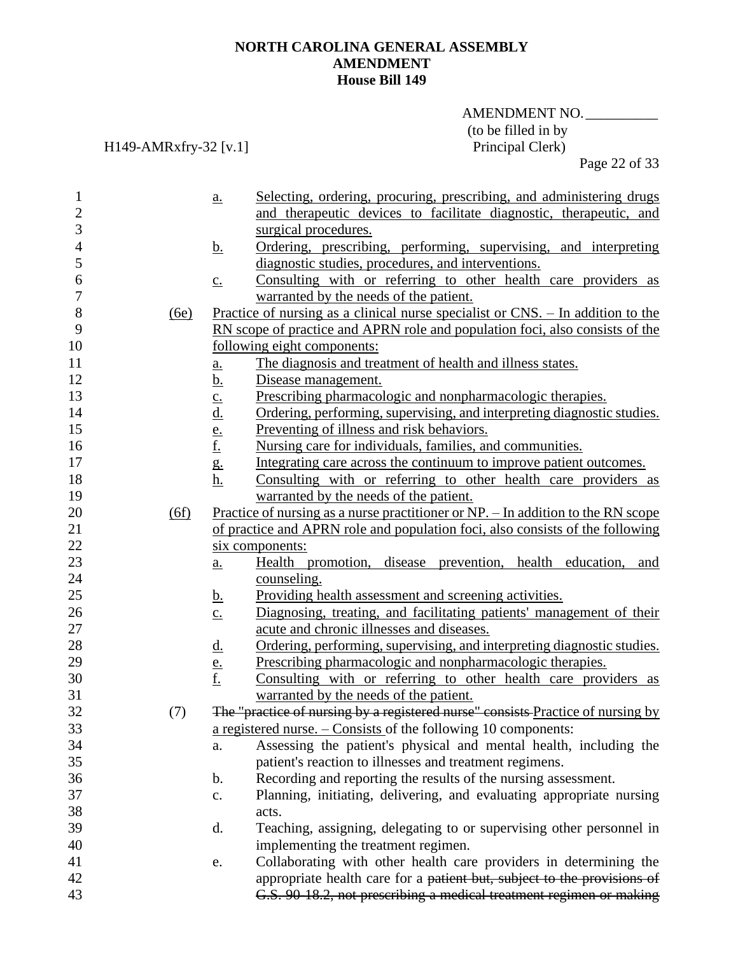## AMENDMENT NO. (to be filled in by<br>Principal Clerk)

H149-AMRxfry-32 [v.1]

Page 22 of 33

| 1              |      | a.                | Selecting, ordering, procuring, prescribing, and administering drugs               |
|----------------|------|-------------------|------------------------------------------------------------------------------------|
| $\overline{c}$ |      |                   | and therapeutic devices to facilitate diagnostic, therapeutic, and                 |
| 3              |      |                   | surgical procedures.                                                               |
| $\overline{4}$ |      | <u>b.</u>         | Ordering, prescribing, performing, supervising, and interpreting                   |
| 5              |      |                   | diagnostic studies, procedures, and interventions.                                 |
| 6              |      | $\underline{c}$ . | Consulting with or referring to other health care providers as                     |
| 7              |      |                   | warranted by the needs of the patient.                                             |
| 8              | (6e) |                   | Practice of nursing as a clinical nurse specialist or $CNS$ . - In addition to the |
| 9              |      |                   | RN scope of practice and APRN role and population foci, also consists of the       |
| 10             |      |                   | following eight components:                                                        |
| 11             |      | a.                | The diagnosis and treatment of health and illness states.                          |
| 12             |      | <u>b.</u>         | Disease management.                                                                |
| 13             |      |                   | Prescribing pharmacologic and nonpharmacologic therapies.                          |
| 14             |      | $\frac{c}{d}$     | Ordering, performing, supervising, and interpreting diagnostic studies.            |
| 15             |      |                   | Preventing of illness and risk behaviors.                                          |
| 16             |      | $\frac{e}{f}$     | Nursing care for individuals, families, and communities.                           |
| 17             |      | $g_{\cdot}$       | Integrating care across the continuum to improve patient outcomes.                 |
| 18             |      | h.                | Consulting with or referring to other health care providers as                     |
| 19             |      |                   | warranted by the needs of the patient.                                             |
| 20             | (6f) |                   | Practice of nursing as a nurse practitioner or NP. – In addition to the RN scope   |
| 21             |      |                   | of practice and APRN role and population foci, also consists of the following      |
| 22             |      |                   | six components:                                                                    |
| 23             |      | $\underline{a}$ . | Health promotion, disease prevention, health education, and                        |
| 24             |      |                   | counseling.                                                                        |
| 25             |      | <u>b.</u>         | Providing health assessment and screening activities.                              |
| 26             |      | $\underline{c}$ . | Diagnosing, treating, and facilitating patients' management of their               |
| 27             |      |                   | acute and chronic illnesses and diseases.                                          |
| 28             |      | <u>d.</u>         | Ordering, performing, supervising, and interpreting diagnostic studies.            |
| 29             |      |                   | Prescribing pharmacologic and nonpharmacologic therapies.                          |
| 30             |      | $\frac{e}{f}$     | Consulting with or referring to other health care providers as                     |
| 31             |      |                   | warranted by the needs of the patient.                                             |
| 32             | (7)  |                   | The "practice of nursing by a registered nurse" consists Practice of nursing by    |
| 33             |      |                   | a registered nurse. $-$ Consists of the following 10 components:                   |
| 34             |      | a.                | Assessing the patient's physical and mental health, including the                  |
| 35             |      |                   | patient's reaction to illnesses and treatment regimens.                            |
| 36             |      | b.                | Recording and reporting the results of the nursing assessment.                     |
| 37             |      | c.                | Planning, initiating, delivering, and evaluating appropriate nursing               |
| 38             |      |                   | acts.                                                                              |
| 39             |      | d.                | Teaching, assigning, delegating to or supervising other personnel in               |
| 40             |      |                   | implementing the treatment regimen.                                                |
| 41             |      | e.                | Collaborating with other health care providers in determining the                  |
| 42             |      |                   | appropriate health care for a patient but, subject to the provisions of            |
| 43             |      |                   | G.S. 90-18.2, not prescribing a medical treatment regimen or making                |
|                |      |                   |                                                                                    |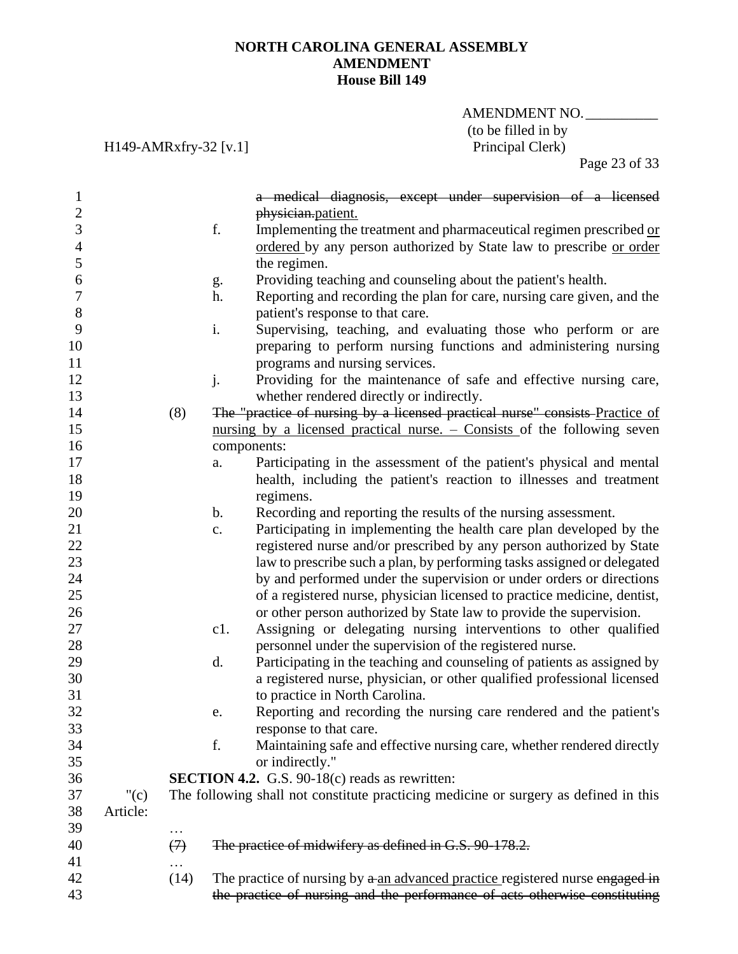## AMENDMENT NO. (to be filled in by<br>Principal Clerk)

H149-AMRxfry-32 [v.1]

Page 23 of 33

| 1                |          |                   | a medical diagnosis, except under supervision of a licensed                           |
|------------------|----------|-------------------|---------------------------------------------------------------------------------------|
| $\overline{c}$   |          |                   | physician.patient.                                                                    |
| 3                |          |                   | f.<br>Implementing the treatment and pharmaceutical regimen prescribed or             |
| $\overline{4}$   |          |                   | ordered by any person authorized by State law to prescribe or order                   |
| 5                |          |                   | the regimen.                                                                          |
| 6                |          |                   | Providing teaching and counseling about the patient's health.<br>g.                   |
| $\boldsymbol{7}$ |          |                   | Reporting and recording the plan for care, nursing care given, and the<br>h.          |
| 8                |          |                   | patient's response to that care.                                                      |
| 9                |          |                   | i.<br>Supervising, teaching, and evaluating those who perform or are                  |
| 10               |          |                   | preparing to perform nursing functions and administering nursing                      |
| 11               |          |                   | programs and nursing services.                                                        |
| 12               |          |                   | Providing for the maintenance of safe and effective nursing care,<br>j.               |
| 13               |          |                   | whether rendered directly or indirectly.                                              |
| 14               |          | (8)               | The "practice of nursing by a licensed practical nurse" consists Practice of          |
| 15               |          |                   | nursing by a licensed practical nurse. $-$ Consists of the following seven            |
| 16               |          |                   | components:                                                                           |
| 17               |          |                   | Participating in the assessment of the patient's physical and mental<br>a.            |
| 18               |          |                   | health, including the patient's reaction to illnesses and treatment                   |
| 19               |          |                   | regimens.                                                                             |
| 20               |          |                   | Recording and reporting the results of the nursing assessment.<br>$\mathbf b$ .       |
| 21               |          |                   | Participating in implementing the health care plan developed by the<br>$\mathbf{c}$ . |
| 22               |          |                   | registered nurse and/or prescribed by any person authorized by State                  |
| 23               |          |                   | law to prescribe such a plan, by performing tasks assigned or delegated               |
| 24               |          |                   | by and performed under the supervision or under orders or directions                  |
| 25               |          |                   | of a registered nurse, physician licensed to practice medicine, dentist,              |
| 26               |          |                   | or other person authorized by State law to provide the supervision.                   |
| 27               |          |                   | Assigning or delegating nursing interventions to other qualified<br>c1.               |
| 28               |          |                   | personnel under the supervision of the registered nurse.                              |
| 29               |          |                   | Participating in the teaching and counseling of patients as assigned by<br>d.         |
| 30               |          |                   | a registered nurse, physician, or other qualified professional licensed               |
| 31               |          |                   | to practice in North Carolina.                                                        |
| 32               |          |                   | Reporting and recording the nursing care rendered and the patient's<br>e.             |
| 33               |          |                   | response to that care.                                                                |
| 34               |          |                   | f.<br>Maintaining safe and effective nursing care, whether rendered directly          |
| 35               |          |                   | or indirectly."                                                                       |
| 36               |          |                   | <b>SECTION 4.2.</b> G.S. 90-18(c) reads as rewritten:                                 |
| 37               | "(c)     |                   | The following shall not constitute practicing medicine or surgery as defined in this  |
| 38               | Article: |                   |                                                                                       |
| 39               |          | .                 |                                                                                       |
| 40               |          | $\leftrightarrow$ | The practice of midwifery as defined in G.S. 90-178.2.                                |
| 41               |          |                   |                                                                                       |
| 42               |          | (14)              | The practice of nursing by a an advanced practice registered nurse engaged in         |
| 43               |          |                   | the practice of nursing and the performance of acts otherwise constituting            |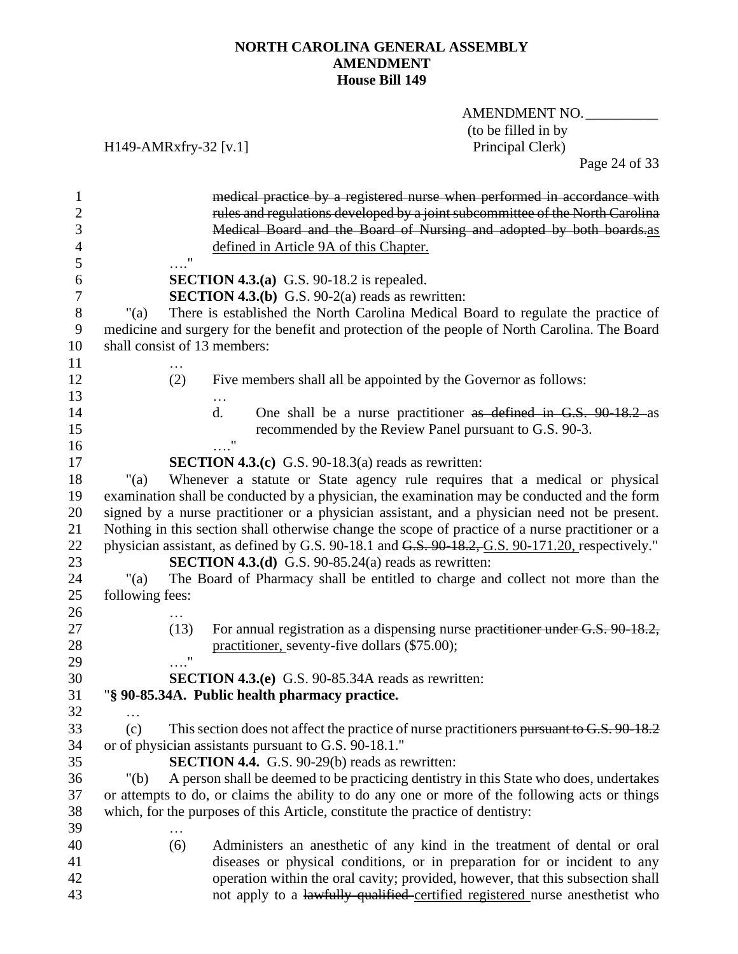AMENDMENT NO. (to be filled in by<br>Principal Clerk)

H149-AMRxfry-32 [v.1]

Page 24 of 33

| 1                |                                                                                | medical practice by a registered nurse when performed in accordance with                          |
|------------------|--------------------------------------------------------------------------------|---------------------------------------------------------------------------------------------------|
| $\boldsymbol{2}$ |                                                                                | rules and regulations developed by a joint subcommittee of the North Carolina                     |
| 3                |                                                                                | Medical Board and the Board of Nursing and adopted by both boards.as                              |
| 4                | defined in Article 9A of this Chapter.                                         |                                                                                                   |
| 5                | "                                                                              |                                                                                                   |
| 6                | <b>SECTION 4.3.(a)</b> G.S. 90-18.2 is repealed.                               |                                                                                                   |
| $\boldsymbol{7}$ | <b>SECTION 4.3.(b)</b> G.S. 90-2(a) reads as rewritten:                        |                                                                                                   |
| $8\,$            | "(a)                                                                           | There is established the North Carolina Medical Board to regulate the practice of                 |
| 9                |                                                                                | medicine and surgery for the benefit and protection of the people of North Carolina. The Board    |
| 10               | shall consist of 13 members:                                                   |                                                                                                   |
| 11               |                                                                                |                                                                                                   |
| 12               | (2)                                                                            | Five members shall all be appointed by the Governor as follows:                                   |
| 13               |                                                                                |                                                                                                   |
| 14               | $\mathbf{d}$ .                                                                 | One shall be a nurse practitioner as defined in G.S. 90-18.2 as                                   |
| 15               |                                                                                | recommended by the Review Panel pursuant to G.S. 90-3.                                            |
| 16               |                                                                                |                                                                                                   |
| 17               | <b>SECTION 4.3.(c)</b> G.S. 90-18.3(a) reads as rewritten:                     |                                                                                                   |
| 18               | "(a)                                                                           | Whenever a statute or State agency rule requires that a medical or physical                       |
| 19               |                                                                                | examination shall be conducted by a physician, the examination may be conducted and the form      |
| 20               |                                                                                | signed by a nurse practitioner or a physician assistant, and a physician need not be present.     |
| 21               |                                                                                | Nothing in this section shall otherwise change the scope of practice of a nurse practitioner or a |
| 22               |                                                                                | physician assistant, as defined by G.S. 90-18.1 and G.S. 90-18.2, G.S. 90-171.20, respectively."  |
| 23               | <b>SECTION 4.3.(d)</b> G.S. 90-85.24(a) reads as rewritten:                    |                                                                                                   |
| 24               | "(a)                                                                           | The Board of Pharmacy shall be entitled to charge and collect not more than the                   |
| 25               | following fees:                                                                |                                                                                                   |
| 26               |                                                                                |                                                                                                   |
| 27               | (13)                                                                           | For annual registration as a dispensing nurse practitioner under G.S. 90-18.2,                    |
| 28               | practitioner, seventy-five dollars (\$75.00);                                  |                                                                                                   |
| 29               | $\pmb{\mathsf{H}}$                                                             |                                                                                                   |
| 30               | <b>SECTION 4.3.(e)</b> G.S. 90-85.34A reads as rewritten:                      |                                                                                                   |
| 31               | "§ 90-85.34A. Public health pharmacy practice.                                 |                                                                                                   |
| 32               |                                                                                |                                                                                                   |
| 33               | (c)                                                                            | This section does not affect the practice of nurse practitioners pursuant to G.S. 90-18.2         |
| 34               | or of physician assistants pursuant to G.S. 90-18.1."                          |                                                                                                   |
| 35               | <b>SECTION 4.4.</b> G.S. 90-29(b) reads as rewritten:                          |                                                                                                   |
| 36               | " $(b)$                                                                        | A person shall be deemed to be practicing dentistry in this State who does, undertakes            |
| 37               |                                                                                | or attempts to do, or claims the ability to do any one or more of the following acts or things    |
| 38               | which, for the purposes of this Article, constitute the practice of dentistry: |                                                                                                   |
| 39<br>40         | (6)                                                                            | Administers an anesthetic of any kind in the treatment of dental or oral                          |
| 41               |                                                                                | diseases or physical conditions, or in preparation for or incident to any                         |
| 42               |                                                                                | operation within the oral cavity; provided, however, that this subsection shall                   |
| 43               |                                                                                | not apply to a lawfully qualified certified registered nurse anesthetist who                      |
|                  |                                                                                |                                                                                                   |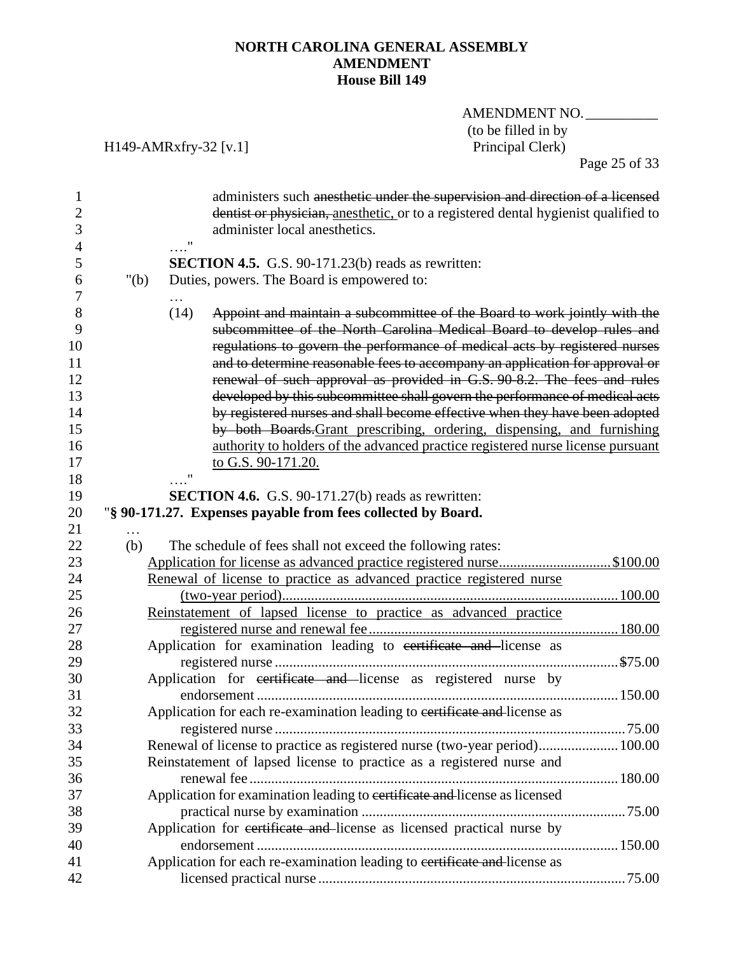AMENDMENT NO. (to be filled in by<br>Principal Clerk)

## H149-AMRxfry-32 [v.1]

Page 25 of 33

| 1<br>$\overline{2}$<br>3<br>4                               |         |      | administers such anesthetic under the supervision and direction of a licensed<br>dentist or physician, anesthetic, or to a registered dental hygienist qualified to<br>administer local anesthetics.                                                                                                                                                                                                                                                                                                                                                                                                                                                                                                                                         |  |
|-------------------------------------------------------------|---------|------|----------------------------------------------------------------------------------------------------------------------------------------------------------------------------------------------------------------------------------------------------------------------------------------------------------------------------------------------------------------------------------------------------------------------------------------------------------------------------------------------------------------------------------------------------------------------------------------------------------------------------------------------------------------------------------------------------------------------------------------------|--|
| 5<br>6                                                      | " $(b)$ |      | <b>SECTION 4.5.</b> G.S. 90-171.23(b) reads as rewritten:<br>Duties, powers. The Board is empowered to:                                                                                                                                                                                                                                                                                                                                                                                                                                                                                                                                                                                                                                      |  |
| 7<br>8<br>9<br>10<br>11<br>12<br>13<br>14<br>15<br>16<br>17 |         | (14) | Appoint and maintain a subcommittee of the Board to work jointly with the<br>subcommittee of the North Carolina Medical Board to develop rules and<br>regulations to govern the performance of medical acts by registered nurses<br>and to determine reasonable fees to accompany an application for approval or<br>renewal of such approval as provided in G.S. 90-8.2. The fees and rules<br>developed by this subcommittee shall govern the performance of medical acts<br>by registered nurses and shall become effective when they have been adopted<br>by both Boards-Grant prescribing, ordering, dispensing, and furnishing<br>authority to holders of the advanced practice registered nurse license pursuant<br>to G.S. 90-171.20. |  |
| 18                                                          |         |      |                                                                                                                                                                                                                                                                                                                                                                                                                                                                                                                                                                                                                                                                                                                                              |  |
| 19                                                          |         |      | SECTION 4.6. G.S. 90-171.27(b) reads as rewritten:                                                                                                                                                                                                                                                                                                                                                                                                                                                                                                                                                                                                                                                                                           |  |
| 20                                                          |         |      | "§ 90-171.27. Expenses payable from fees collected by Board.                                                                                                                                                                                                                                                                                                                                                                                                                                                                                                                                                                                                                                                                                 |  |
| 21                                                          |         |      |                                                                                                                                                                                                                                                                                                                                                                                                                                                                                                                                                                                                                                                                                                                                              |  |
| 22                                                          | (b)     |      | The schedule of fees shall not exceed the following rates:                                                                                                                                                                                                                                                                                                                                                                                                                                                                                                                                                                                                                                                                                   |  |
| 23<br>24                                                    |         |      | Application for license as advanced practice registered nurse\$100.00                                                                                                                                                                                                                                                                                                                                                                                                                                                                                                                                                                                                                                                                        |  |
| 25                                                          |         |      | Renewal of license to practice as advanced practice registered nurse                                                                                                                                                                                                                                                                                                                                                                                                                                                                                                                                                                                                                                                                         |  |
| 26                                                          |         |      | Reinstatement of lapsed license to practice as advanced practice                                                                                                                                                                                                                                                                                                                                                                                                                                                                                                                                                                                                                                                                             |  |
| 27                                                          |         |      |                                                                                                                                                                                                                                                                                                                                                                                                                                                                                                                                                                                                                                                                                                                                              |  |
| 28                                                          |         |      | Application for examination leading to certificate and license as                                                                                                                                                                                                                                                                                                                                                                                                                                                                                                                                                                                                                                                                            |  |
| 29                                                          |         |      |                                                                                                                                                                                                                                                                                                                                                                                                                                                                                                                                                                                                                                                                                                                                              |  |
| 30                                                          |         |      | Application for certificate and license as registered nurse by                                                                                                                                                                                                                                                                                                                                                                                                                                                                                                                                                                                                                                                                               |  |
| 31                                                          |         |      |                                                                                                                                                                                                                                                                                                                                                                                                                                                                                                                                                                                                                                                                                                                                              |  |
| 32                                                          |         |      | Application for each re-examination leading to certificate and license as                                                                                                                                                                                                                                                                                                                                                                                                                                                                                                                                                                                                                                                                    |  |
| 33                                                          |         |      |                                                                                                                                                                                                                                                                                                                                                                                                                                                                                                                                                                                                                                                                                                                                              |  |
| 34                                                          |         |      | Renewal of license to practice as registered nurse (two-year period) 100.00                                                                                                                                                                                                                                                                                                                                                                                                                                                                                                                                                                                                                                                                  |  |
| 35                                                          |         |      | Reinstatement of lapsed license to practice as a registered nurse and                                                                                                                                                                                                                                                                                                                                                                                                                                                                                                                                                                                                                                                                        |  |
| 36                                                          |         |      |                                                                                                                                                                                                                                                                                                                                                                                                                                                                                                                                                                                                                                                                                                                                              |  |
| 37                                                          |         |      | Application for examination leading to certificate and license as licensed                                                                                                                                                                                                                                                                                                                                                                                                                                                                                                                                                                                                                                                                   |  |
| 38                                                          |         |      |                                                                                                                                                                                                                                                                                                                                                                                                                                                                                                                                                                                                                                                                                                                                              |  |
| 39                                                          |         |      | Application for certificate and license as licensed practical nurse by                                                                                                                                                                                                                                                                                                                                                                                                                                                                                                                                                                                                                                                                       |  |
| 40                                                          |         |      |                                                                                                                                                                                                                                                                                                                                                                                                                                                                                                                                                                                                                                                                                                                                              |  |
| 41                                                          |         |      | Application for each re-examination leading to certificate and license as                                                                                                                                                                                                                                                                                                                                                                                                                                                                                                                                                                                                                                                                    |  |
| 42                                                          |         |      |                                                                                                                                                                                                                                                                                                                                                                                                                                                                                                                                                                                                                                                                                                                                              |  |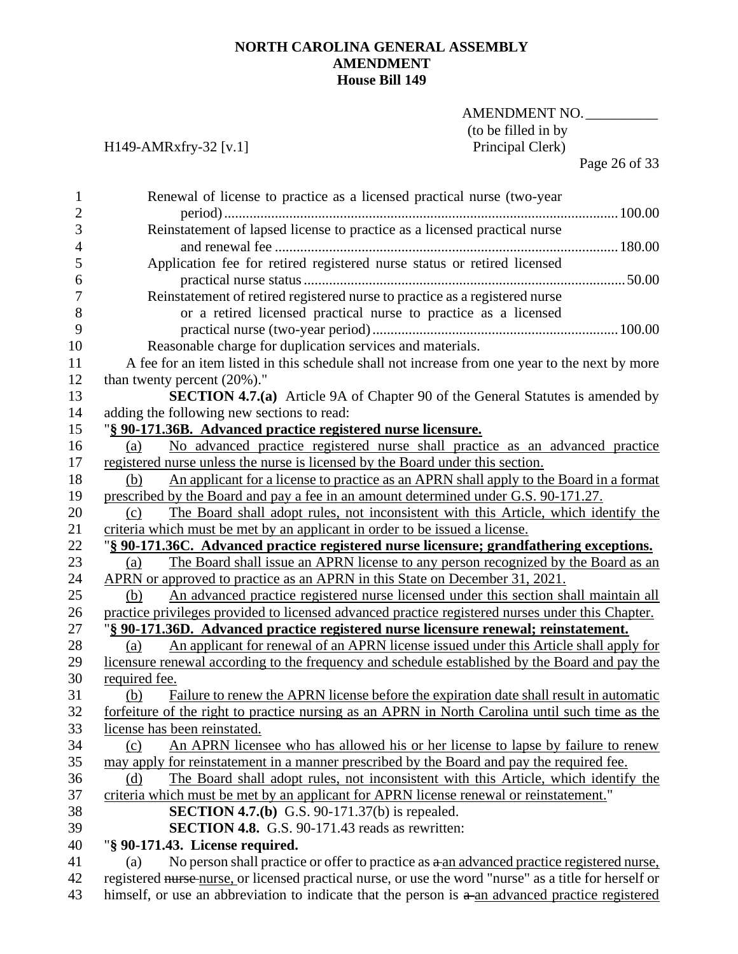## AMENDMENT NO. (to be filled in by<br>Principal Clerk)

## H149-AMRxfry-32 [v.1]

Page 26 of 33

| 1              | Renewal of license to practice as a licensed practical nurse (two-year                                 |
|----------------|--------------------------------------------------------------------------------------------------------|
| $\overline{c}$ |                                                                                                        |
| 3              | Reinstatement of lapsed license to practice as a licensed practical nurse                              |
| 4              |                                                                                                        |
| 5              | Application fee for retired registered nurse status or retired licensed                                |
| 6              |                                                                                                        |
| 7              | Reinstatement of retired registered nurse to practice as a registered nurse                            |
| $8\,$          | or a retired licensed practical nurse to practice as a licensed                                        |
| 9              |                                                                                                        |
| 10             | Reasonable charge for duplication services and materials.                                              |
| 11             | A fee for an item listed in this schedule shall not increase from one year to the next by more         |
| 12             | than twenty percent $(20\%)$ ."                                                                        |
| 13             | <b>SECTION 4.7.(a)</b> Article 9A of Chapter 90 of the General Statutes is amended by                  |
| 14             | adding the following new sections to read:                                                             |
| 15             | "§ 90-171.36B. Advanced practice registered nurse licensure.                                           |
| 16             | No advanced practice registered nurse shall practice as an advanced practice<br>(a)                    |
| 17             | registered nurse unless the nurse is licensed by the Board under this section.                         |
| 18             | An applicant for a license to practice as an APRN shall apply to the Board in a format<br>(b)          |
| 19             | prescribed by the Board and pay a fee in an amount determined under G.S. 90-171.27.                    |
| 20             | The Board shall adopt rules, not inconsistent with this Article, which identify the<br>(c)             |
| 21             | criteria which must be met by an applicant in order to be issued a license.                            |
| 22             | "§ 90-171.36C. Advanced practice registered nurse licensure; grandfathering exceptions.                |
| 23             | The Board shall issue an APRN license to any person recognized by the Board as an<br>(a)               |
| 24             | APRN or approved to practice as an APRN in this State on December 31, 2021.                            |
| 25             | An advanced practice registered nurse licensed under this section shall maintain all<br>(b)            |
| 26             | practice privileges provided to licensed advanced practice registered nurses under this Chapter.       |
| 27             | "§ 90-171.36D. Advanced practice registered nurse licensure renewal; reinstatement.                    |
| 28             | An applicant for renewal of an APRN license issued under this Article shall apply for<br>(a)           |
| 29             | licensure renewal according to the frequency and schedule established by the Board and pay the         |
| 30             | required fee.                                                                                          |
| 31             | Failure to renew the APRN license before the expiration date shall result in automatic<br>(b)          |
| 32             | forfeiture of the right to practice nursing as an APRN in North Carolina until such time as the        |
| 33             | license has been reinstated.                                                                           |
| 34             | An APRN licensee who has allowed his or her license to lapse by failure to renew<br>(c)                |
| 35             | may apply for reinstatement in a manner prescribed by the Board and pay the required fee.              |
| 36             | The Board shall adopt rules, not inconsistent with this Article, which identify the<br>(d)             |
| 37             | criteria which must be met by an applicant for APRN license renewal or reinstatement."                 |
| 38             | <b>SECTION 4.7.(b)</b> G.S. 90-171.37(b) is repealed.                                                  |
| 39             | <b>SECTION 4.8.</b> G.S. 90-171.43 reads as rewritten:                                                 |
| 40             | "§ 90-171.43. License required.                                                                        |
| 41             | No person shall practice or offer to practice as $a$ an advanced practice registered nurse,<br>(a)     |
| 42             | registered nurse nurse, or licensed practical nurse, or use the word "nurse" as a title for herself or |
| 43             | himself, or use an abbreviation to indicate that the person is a-an advanced practice registered       |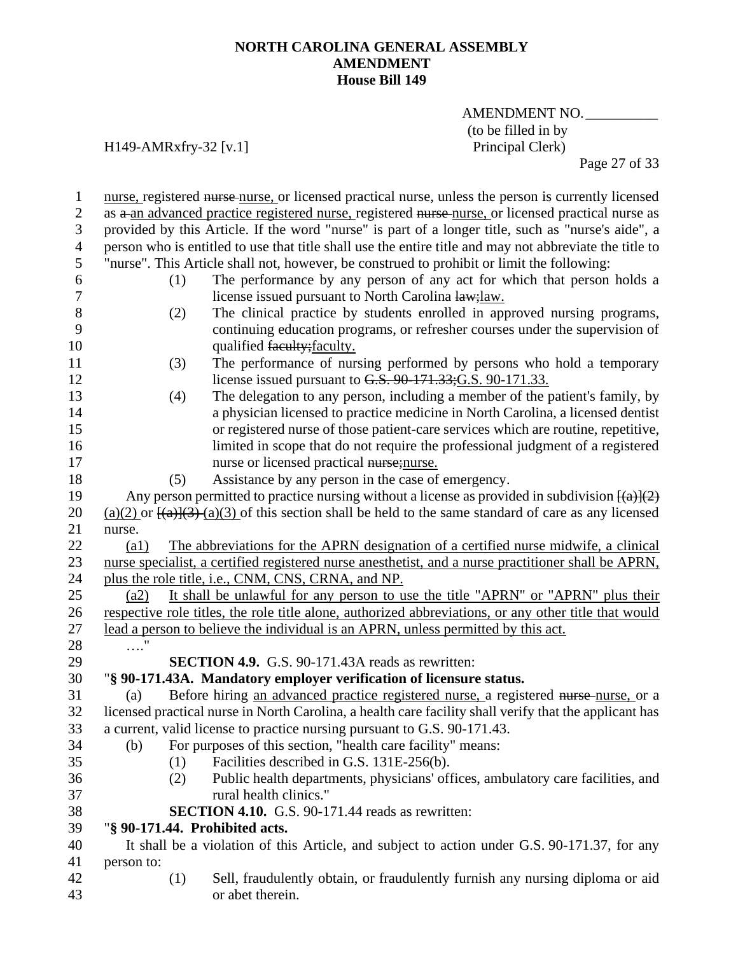## AMENDMENT NO. (to be filled in by<br>Principal Clerk)

## H149-AMRxfry-32 [v.1]

Page 27 of 33

| $\mathbf{1}$     |                    | nurse, registered nurse nurse, or licensed practical nurse, unless the person is currently licensed               |
|------------------|--------------------|-------------------------------------------------------------------------------------------------------------------|
| $\overline{2}$   |                    | as a an advanced practice registered nurse, registered nurse nurse, or licensed practical nurse as                |
| $\mathfrak{Z}$   |                    | provided by this Article. If the word "nurse" is part of a longer title, such as "nurse's aide", a                |
| $\overline{4}$   |                    | person who is entitled to use that title shall use the entire title and may not abbreviate the title to           |
| 5                |                    | "nurse". This Article shall not, however, be construed to prohibit or limit the following:                        |
| 6                | (1)                | The performance by any person of any act for which that person holds a                                            |
| $\boldsymbol{7}$ |                    | license issued pursuant to North Carolina law; law.                                                               |
| 8                | (2)                | The clinical practice by students enrolled in approved nursing programs,                                          |
| 9                |                    | continuing education programs, or refresher courses under the supervision of                                      |
| 10               |                    | qualified faculty; faculty.                                                                                       |
| 11               | (3)                | The performance of nursing performed by persons who hold a temporary                                              |
| 12               |                    | license issued pursuant to G.S. 90-171.33; G.S. 90-171.33.                                                        |
| 13               | (4)                | The delegation to any person, including a member of the patient's family, by                                      |
| 14               |                    | a physician licensed to practice medicine in North Carolina, a licensed dentist                                   |
| 15               |                    | or registered nurse of those patient-care services which are routine, repetitive,                                 |
| 16               |                    | limited in scope that do not require the professional judgment of a registered                                    |
| 17               |                    | nurse or licensed practical nurse; nurse.                                                                         |
| 18               | (5)                | Assistance by any person in the case of emergency.                                                                |
| 19               |                    | Any person permitted to practice nursing without a license as provided in subdivision $\frac{(\alpha)}{(\alpha)}$ |
| 20               |                    | $(a)(2)$ or $\frac{[(a)](3)}{(a)(3)}$ of this section shall be held to the same standard of care as any licensed  |
| 21               | nurse.             |                                                                                                                   |
| 22               | $\left( a1\right)$ | The abbreviations for the APRN designation of a certified nurse midwife, a clinical                               |
| 23               |                    | nurse specialist, a certified registered nurse anesthetist, and a nurse practitioner shall be APRN,               |
| 24               |                    | plus the role title, i.e., CNM, CNS, CRNA, and NP.                                                                |
| 25               | (a2)               | It shall be unlawful for any person to use the title "APRN" or "APRN" plus their                                  |
| 26               |                    | respective role titles, the role title alone, authorized abbreviations, or any other title that would             |
| 27               |                    | lead a person to believe the individual is an APRN, unless permitted by this act.                                 |
| 28               | $\ldots$           |                                                                                                                   |
| 29               |                    | <b>SECTION 4.9.</b> G.S. 90-171.43A reads as rewritten:                                                           |
| 30               |                    | "§ 90-171.43A. Mandatory employer verification of licensure status.                                               |
| 31               | (a)                | Before hiring an advanced practice registered nurse, a registered nurse-nurse, or a                               |
| 32               |                    | licensed practical nurse in North Carolina, a health care facility shall verify that the applicant has            |
| 33               |                    | a current, valid license to practice nursing pursuant to G.S. 90-171.43.                                          |
| 34               | (b)                | For purposes of this section, "health care facility" means:                                                       |
| 35               | (1)                | Facilities described in G.S. 131E-256(b).                                                                         |
| 36               | (2)                | Public health departments, physicians' offices, ambulatory care facilities, and                                   |
| 37               |                    | rural health clinics."                                                                                            |
| 38               |                    | <b>SECTION 4.10.</b> G.S. 90-171.44 reads as rewritten:                                                           |
| 39               |                    | "§ 90-171.44. Prohibited acts.                                                                                    |
| 40               |                    | It shall be a violation of this Article, and subject to action under G.S. 90-171.37, for any                      |
| 41               | person to:         |                                                                                                                   |
| 42               | (1)                | Sell, fraudulently obtain, or fraudulently furnish any nursing diploma or aid                                     |
| 43               |                    | or abet therein.                                                                                                  |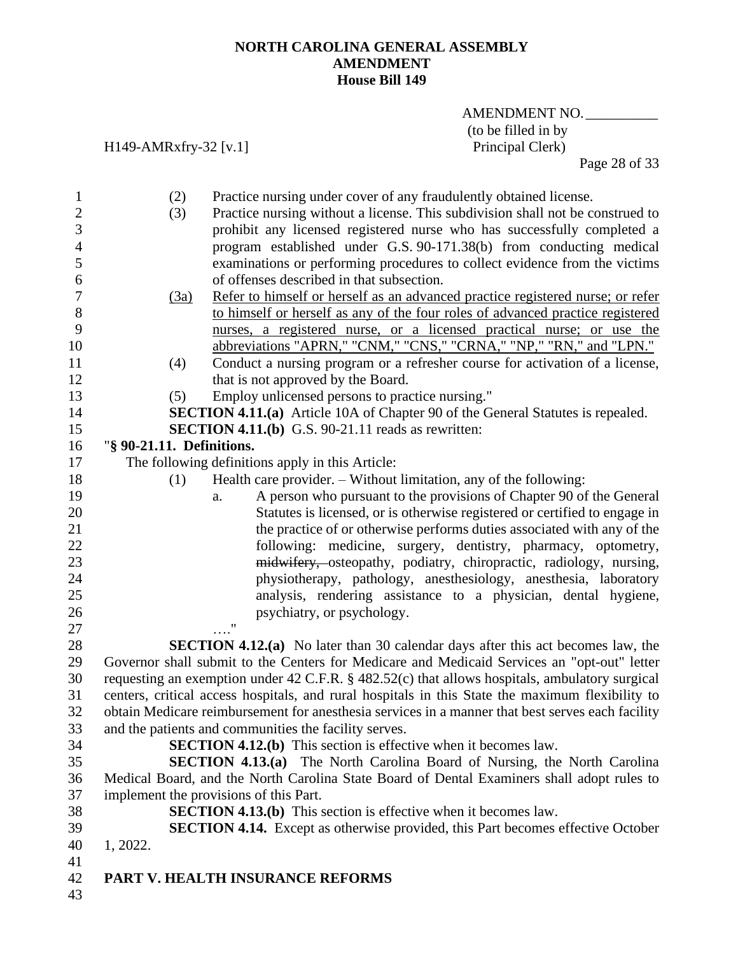H149-AMRxfry-32 [v.1]

## AMENDMENT NO. (to be filled in by<br>Principal Clerk)

Page 28 of 33

| $\mathbf{1}$     | (2)                       | Practice nursing under cover of any fraudulently obtained license.                               |
|------------------|---------------------------|--------------------------------------------------------------------------------------------------|
| $\overline{2}$   | (3)                       | Practice nursing without a license. This subdivision shall not be construed to                   |
| 3                |                           | prohibit any licensed registered nurse who has successfully completed a                          |
| $\overline{4}$   |                           | program established under G.S. 90-171.38(b) from conducting medical                              |
| 5                |                           | examinations or performing procedures to collect evidence from the victims                       |
| 6                |                           | of offenses described in that subsection.                                                        |
| $\boldsymbol{7}$ | (3a)                      | Refer to himself or herself as an advanced practice registered nurse; or refer                   |
| $8\,$            |                           | to himself or herself as any of the four roles of advanced practice registered                   |
| 9                |                           | nurses, a registered nurse, or a licensed practical nurse; or use the                            |
| 10               |                           | abbreviations "APRN," "CNM," "CNS," "CRNA," "NP," "RN," and "LPN."                               |
| 11               | (4)                       | Conduct a nursing program or a refresher course for activation of a license,                     |
| 12               |                           | that is not approved by the Board.                                                               |
| 13               | (5)                       | Employ unlicensed persons to practice nursing."                                                  |
| 14               |                           | <b>SECTION 4.11.(a)</b> Article 10A of Chapter 90 of the General Statutes is repealed.           |
| 15               |                           | <b>SECTION 4.11.(b)</b> G.S. 90-21.11 reads as rewritten:                                        |
| 16               | "§ 90-21.11. Definitions. |                                                                                                  |
| 17               |                           | The following definitions apply in this Article:                                                 |
| 18               | (1)                       | Health care provider. – Without limitation, any of the following:                                |
| 19               |                           | A person who pursuant to the provisions of Chapter 90 of the General<br>a.                       |
| 20               |                           | Statutes is licensed, or is otherwise registered or certified to engage in                       |
| 21               |                           | the practice of or otherwise performs duties associated with any of the                          |
| 22               |                           | following: medicine, surgery, dentistry, pharmacy, optometry,                                    |
| 23               |                           | midwifery, osteopathy, podiatry, chiropractic, radiology, nursing,                               |
| 24               |                           | physiotherapy, pathology, anesthesiology, anesthesia, laboratory                                 |
| 25               |                           | analysis, rendering assistance to a physician, dental hygiene,                                   |
| 26               |                           | psychiatry, or psychology.                                                                       |
| 27               |                           | ,,                                                                                               |
| 28               |                           | <b>SECTION 4.12.(a)</b> No later than 30 calendar days after this act becomes law, the           |
| 29               |                           | Governor shall submit to the Centers for Medicare and Medicaid Services an "opt-out" letter      |
| 30               |                           | requesting an exemption under 42 C.F.R. § 482.52(c) that allows hospitals, ambulatory surgical   |
| 31               |                           | centers, critical access hospitals, and rural hospitals in this State the maximum flexibility to |
| 32               |                           | obtain Medicare reimbursement for anesthesia services in a manner that best serves each facility |
| 33               |                           | and the patients and communities the facility serves.                                            |
| 34               |                           | <b>SECTION 4.12.(b)</b> This section is effective when it becomes law.                           |
| 35               |                           | <b>SECTION 4.13.(a)</b> The North Carolina Board of Nursing, the North Carolina                  |
| 36               |                           | Medical Board, and the North Carolina State Board of Dental Examiners shall adopt rules to       |
| 37               |                           | implement the provisions of this Part.                                                           |
| 38               |                           | <b>SECTION 4.13.(b)</b> This section is effective when it becomes law.                           |
| 39               |                           | <b>SECTION 4.14.</b> Except as otherwise provided, this Part becomes effective October           |
| 40               | 1, 2022.                  |                                                                                                  |
| 41               |                           |                                                                                                  |
| 42               |                           | PART V. HEALTH INSURANCE REFORMS                                                                 |
| 43               |                           |                                                                                                  |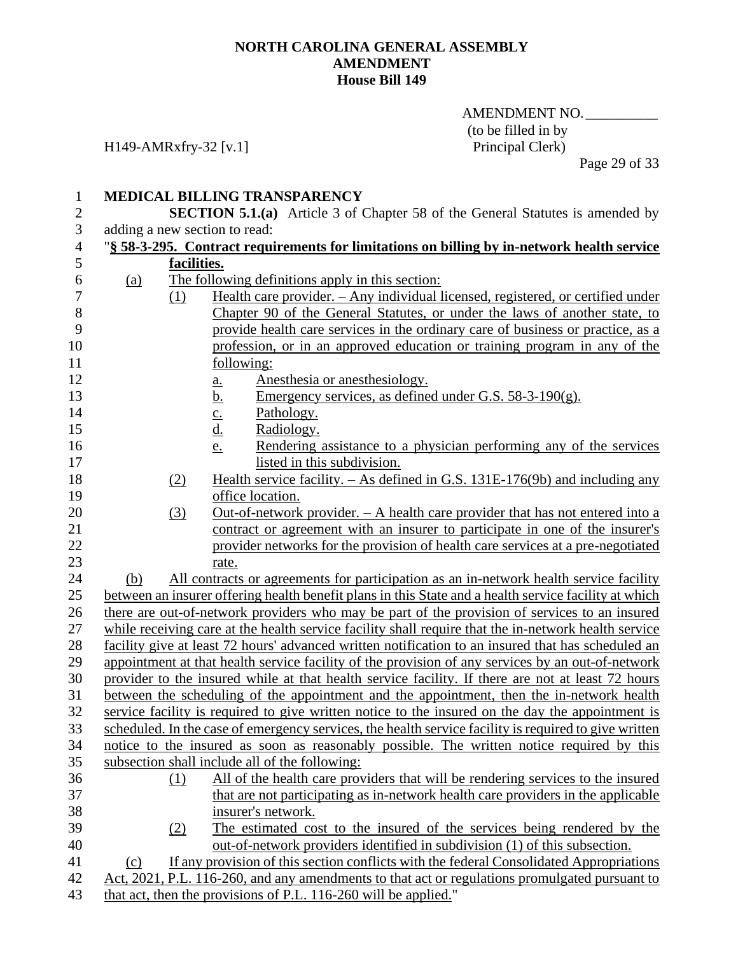AMENDMENT NO. (to be filled in by<br>Principal Clerk)

H149-AMRxfry-32 [v.1]

Page 29 of 33

| $\mathbf{1}$   |            |             | MEDICAL BILLING TRANSPARENCY                                                                          |
|----------------|------------|-------------|-------------------------------------------------------------------------------------------------------|
| $\mathbf{2}$   |            |             | <b>SECTION 5.1.(a)</b> Article 3 of Chapter 58 of the General Statutes is amended by                  |
| 3              |            |             | adding a new section to read:                                                                         |
| $\overline{4}$ |            |             | "§ 58-3-295. Contract requirements for limitations on billing by in-network health service            |
| 5              |            | facilities. |                                                                                                       |
| 6              | <u>(a)</u> |             | The following definitions apply in this section:                                                      |
| $\overline{7}$ |            | (1)         | Health care provider. - Any individual licensed, registered, or certified under                       |
| 8              |            |             | Chapter 90 of the General Statutes, or under the laws of another state, to                            |
| 9              |            |             | provide health care services in the ordinary care of business or practice, as a                       |
| 10             |            |             | profession, or in an approved education or training program in any of the                             |
| 11             |            |             | following:                                                                                            |
| 12             |            |             | Anesthesia or anesthesiology.<br>a.                                                                   |
| 13             |            |             | Emergency services, as defined under G.S. $58-3-190(g)$ .<br><u>b.</u>                                |
| 14             |            |             | Pathology.<br>$\frac{c}{d}$                                                                           |
| 15             |            |             | Radiology.                                                                                            |
| 16             |            |             | Rendering assistance to a physician performing any of the services<br>e.                              |
| 17             |            |             | listed in this subdivision.                                                                           |
| 18             |            | (2)         | Health service facility. $-$ As defined in G.S. 131E-176(9b) and including any                        |
| 19             |            |             | office location.                                                                                      |
| 20             |            | (3)         | Out-of-network provider. $- A$ health care provider that has not entered into a                       |
| 21             |            |             | contract or agreement with an insurer to participate in one of the insurer's                          |
| 22             |            |             | provider networks for the provision of health care services at a pre-negotiated                       |
| 23             |            |             | rate.                                                                                                 |
| 24             | (b)        |             | All contracts or agreements for participation as an in-network health service facility                |
| 25             |            |             | between an insurer offering health benefit plans in this State and a health service facility at which |
| 26             |            |             | there are out-of-network providers who may be part of the provision of services to an insured         |
| 27             |            |             | while receiving care at the health service facility shall require that the in-network health service  |
| 28             |            |             | facility give at least 72 hours' advanced written notification to an insured that has scheduled an    |
| 29             |            |             | appointment at that health service facility of the provision of any services by an out-of-network     |
| 30             |            |             | provider to the insured while at that health service facility. If there are not at least 72 hours     |
| 31             |            |             | between the scheduling of the appointment and the appointment, then the in-network health             |
| 32             |            |             | service facility is required to give written notice to the insured on the day the appointment is      |
| 33             |            |             | scheduled. In the case of emergency services, the health service facility is required to give written |
| 34             |            |             | notice to the insured as soon as reasonably possible. The written notice required by this             |
| 35             |            |             | subsection shall include all of the following:                                                        |
| 36             |            | (1)         | All of the health care providers that will be rendering services to the insured                       |
| 37             |            |             | that are not participating as in-network health care providers in the applicable                      |
| 38             |            |             | insurer's network.                                                                                    |
| 39             |            | (2)         | The estimated cost to the insured of the services being rendered by the                               |
| 40             |            |             | out-of-network providers identified in subdivision (1) of this subsection.                            |
| 41             | (c)        |             | If any provision of this section conflicts with the federal Consolidated Appropriations               |
| 42             |            |             | Act, 2021, P.L. 116-260, and any amendments to that act or regulations promulgated pursuant to        |
| 43             |            |             | that act, then the provisions of P.L. 116-260 will be applied."                                       |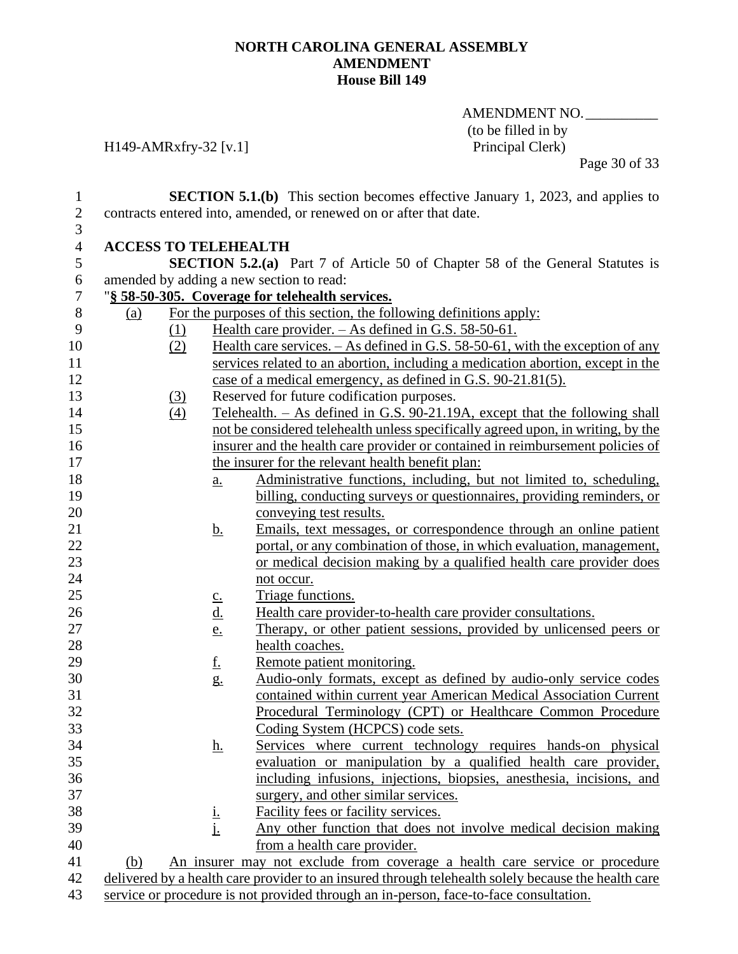AMENDMENT NO.\_\_\_\_\_\_\_\_\_\_ (to be filled in by<br>Principal Clerk)

H149-AMRxfry-32 [v.1]

Page 30 of 33

| $\mathbf{1}$     |                             |                   | <b>SECTION 5.1.(b)</b> This section becomes effective January 1, 2023, and applies to               |
|------------------|-----------------------------|-------------------|-----------------------------------------------------------------------------------------------------|
| $\sqrt{2}$       |                             |                   | contracts entered into, amended, or renewed on or after that date.                                  |
| 3                |                             |                   |                                                                                                     |
| $\overline{4}$   | <b>ACCESS TO TELEHEALTH</b> |                   |                                                                                                     |
| 5                |                             |                   | <b>SECTION 5.2.(a)</b> Part 7 of Article 50 of Chapter 58 of the General Statutes is                |
| 6                |                             |                   | amended by adding a new section to read:                                                            |
| $\boldsymbol{7}$ |                             |                   | "§ 58-50-305. Coverage for telehealth services.                                                     |
| $8\,$            | (a)                         |                   | For the purposes of this section, the following definitions apply:                                  |
| 9                | <u>(1)</u>                  |                   | Health care provider. $-$ As defined in G.S. 58-50-61.                                              |
| 10               | (2)                         |                   | Health care services. $-$ As defined in G.S. 58-50-61, with the exception of any                    |
| 11               |                             |                   | services related to an abortion, including a medication abortion, except in the                     |
| 12               |                             |                   | case of a medical emergency, as defined in G.S. 90-21.81(5).                                        |
| 13               | <u>(3)</u>                  |                   | Reserved for future codification purposes.                                                          |
| 14               | (4)                         |                   | Telehealth. - As defined in G.S. 90-21.19A, except that the following shall                         |
| 15               |                             |                   | not be considered telehealth unless specifically agreed upon, in writing, by the                    |
| 16               |                             |                   | insurer and the health care provider or contained in reimbursement policies of                      |
| 17               |                             |                   | the insurer for the relevant health benefit plan:                                                   |
| 18               |                             | $\underline{a}$ . | Administrative functions, including, but not limited to, scheduling,                                |
| 19               |                             |                   | billing, conducting surveys or questionnaires, providing reminders, or                              |
| 20               |                             |                   | conveying test results.                                                                             |
| 21               |                             | <u>b.</u>         | Emails, text messages, or correspondence through an online patient                                  |
| 22               |                             |                   | portal, or any combination of those, in which evaluation, management,                               |
| 23               |                             |                   | or medical decision making by a qualified health care provider does                                 |
| 24               |                             |                   | not occur.                                                                                          |
| 25               |                             | $\underline{c}$ . | Triage functions.                                                                                   |
| 26               |                             | <u>d.</u>         | Health care provider-to-health care provider consultations.                                         |
| $27\,$           |                             | <u>e.</u>         | Therapy, or other patient sessions, provided by unlicensed peers or                                 |
| 28               |                             |                   | health coaches.                                                                                     |
| 29               |                             | <u>f.</u>         | Remote patient monitoring.                                                                          |
| 30               |                             | $g_{\cdot}$       | Audio-only formats, except as defined by audio-only service codes                                   |
| 31               |                             |                   | contained within current year American Medical Association Current                                  |
| 32               |                             |                   | Procedural Terminology (CPT) or Healthcare Common Procedure                                         |
| 33               |                             |                   | Coding System (HCPCS) code sets.                                                                    |
| 34               |                             | <u>h.</u>         | Services where current technology requires hands-on physical                                        |
| 35               |                             |                   | evaluation or manipulation by a qualified health care provider,                                     |
| 36               |                             |                   | including infusions, injections, biopsies, anesthesia, incisions, and                               |
| 37               |                             |                   | surgery, and other similar services.                                                                |
| 38               |                             |                   | Facility fees or facility services.                                                                 |
| 39               |                             | $\frac{1}{1}$     | Any other function that does not involve medical decision making                                    |
| 40               |                             |                   | from a health care provider.                                                                        |
| 41               | (b)                         |                   | An insurer may not exclude from coverage a health care service or procedure                         |
| 42               |                             |                   | delivered by a health care provider to an insured through telehealth solely because the health care |
| 43               |                             |                   | service or procedure is not provided through an in-person, face-to-face consultation.               |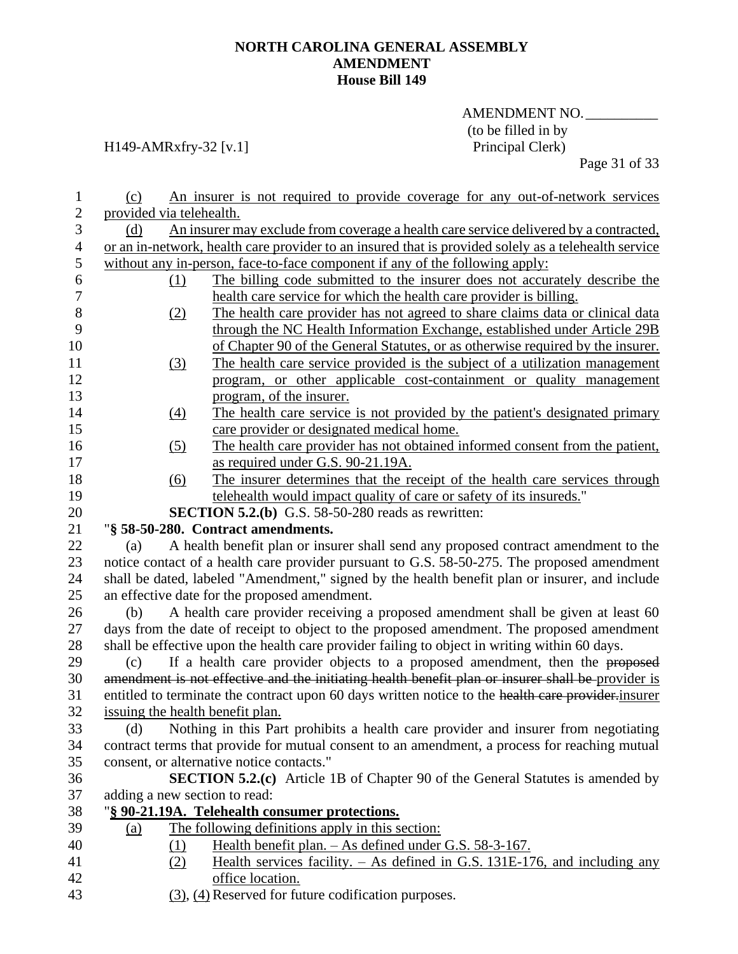## AMENDMENT NO. (to be filled in by<br>Principal Clerk)

## H149-AMRxfry-32 [v.1]

Page 31 of 33

| 1                | (c)                      | An insurer is not required to provide coverage for any out-of-network services                          |
|------------------|--------------------------|---------------------------------------------------------------------------------------------------------|
| $\mathbf{2}$     | provided via telehealth. |                                                                                                         |
| 3                | (d)                      | An insurer may exclude from coverage a health care service delivered by a contracted,                   |
| $\overline{4}$   |                          | or an in-network, health care provider to an insured that is provided solely as a telehealth service    |
| 5                |                          | without any in-person, face-to-face component if any of the following apply:                            |
| 6                |                          | The billing code submitted to the insurer does not accurately describe the<br>(1)                       |
| $\boldsymbol{7}$ |                          | health care service for which the health care provider is billing.                                      |
| $8\,$            |                          | The health care provider has not agreed to share claims data or clinical data<br>(2)                    |
| 9                |                          | through the NC Health Information Exchange, established under Article 29B                               |
| 10               |                          | of Chapter 90 of the General Statutes, or as otherwise required by the insurer.                         |
| 11               |                          | The health care service provided is the subject of a utilization management<br>(3)                      |
| 12               |                          | program, or other applicable cost-containment or quality management                                     |
| 13               |                          | program, of the insurer.                                                                                |
| 14               |                          | The health care service is not provided by the patient's designated primary<br>(4)                      |
| 15               |                          | care provider or designated medical home.                                                               |
| 16               |                          | The health care provider has not obtained informed consent from the patient,<br>(5)                     |
| 17               |                          | as required under G.S. 90-21.19A.                                                                       |
| 18               |                          | The insurer determines that the receipt of the health care services through<br>(6)                      |
| 19               |                          | telehealth would impact quality of care or safety of its insureds."                                     |
| 20               |                          | <b>SECTION 5.2.(b)</b> G.S. $58-50-280$ reads as rewritten:                                             |
| 21               |                          | "§ 58-50-280. Contract amendments.                                                                      |
| 22               | (a)                      | A health benefit plan or insurer shall send any proposed contract amendment to the                      |
| 23               |                          | notice contact of a health care provider pursuant to G.S. 58-50-275. The proposed amendment             |
| 24               |                          | shall be dated, labeled "Amendment," signed by the health benefit plan or insurer, and include          |
| 25               |                          | an effective date for the proposed amendment.                                                           |
| 26               | (b)                      | A health care provider receiving a proposed amendment shall be given at least 60                        |
| 27               |                          | days from the date of receipt to object to the proposed amendment. The proposed amendment               |
| 28               |                          | shall be effective upon the health care provider failing to object in writing within 60 days.           |
| 29               | (c)                      | If a health care provider objects to a proposed amendment, then the proposed                            |
| 30               |                          | amendment is not effective and the initiating health benefit plan or insurer shall be provider is       |
| 31               |                          | entitled to terminate the contract upon 60 days written notice to the health care provider.insurer      |
| 32               |                          | issuing the health benefit plan.                                                                        |
| 33               |                          | (d) Nothing in this Part prohibits a health care provider and insurer from negotiating                  |
| 34               |                          | contract terms that provide for mutual consent to an amendment, a process for reaching mutual           |
| 35               |                          | consent, or alternative notice contacts."                                                               |
| 36               |                          | <b>SECTION 5.2.(c)</b> Article 1B of Chapter 90 of the General Statutes is amended by                   |
| 37               |                          | adding a new section to read:                                                                           |
| 38               |                          | "§ 90-21.19A. Telehealth consumer protections.                                                          |
| 39               | <u>(a)</u>               | The following definitions apply in this section:                                                        |
| 40               |                          | Health benefit plan. – As defined under G.S. 58-3-167.<br>(1)                                           |
| 41<br>42         |                          | Health services facility. $-$ As defined in G.S. 131E-176, and including any<br>(2)<br>office location. |
| 43               |                          | (3), (4) Reserved for future codification purposes.                                                     |
|                  |                          |                                                                                                         |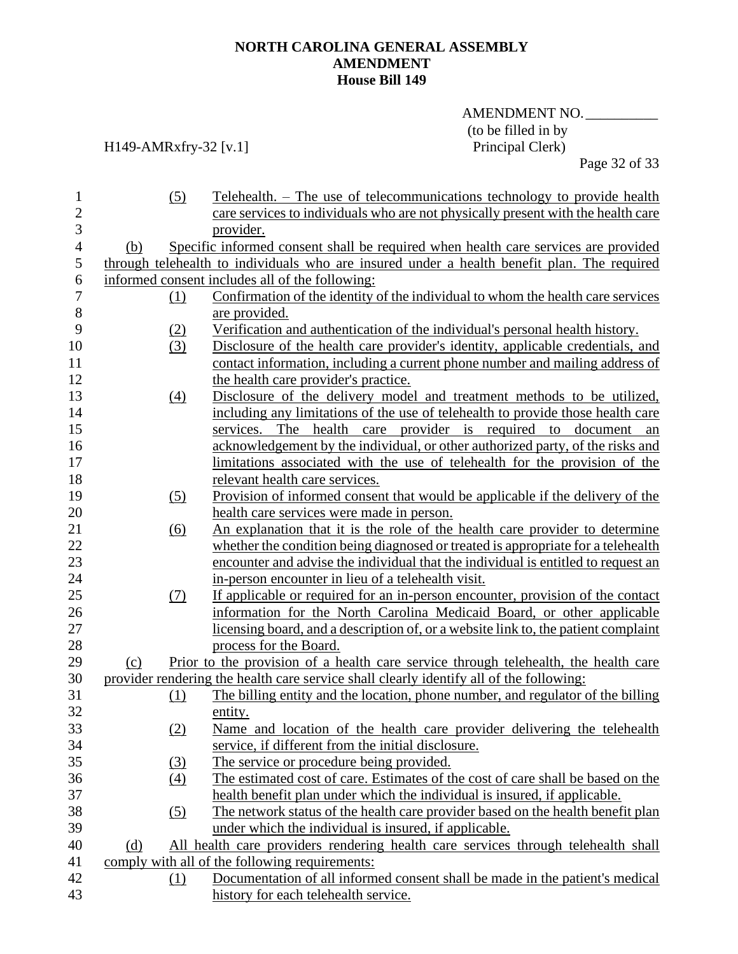AMENDMENT NO. (to be filled in by<br>Principal Clerk)

## H149-AMRxfry-32 [v.1]

Page 32 of 33

| $\mathbf{1}$<br>$\overline{2}$<br>3 | (5)               | Telehealth. – The use of telecommunications technology to provide health<br>care services to individuals who are not physically present with the health care<br>provider. |
|-------------------------------------|-------------------|---------------------------------------------------------------------------------------------------------------------------------------------------------------------------|
| $\overline{4}$                      | (b)               | Specific informed consent shall be required when health care services are provided                                                                                        |
| 5                                   |                   | through telehealth to individuals who are insured under a health benefit plan. The required                                                                               |
| 6                                   |                   | informed consent includes all of the following:                                                                                                                           |
| 7                                   | (1)               | Confirmation of the identity of the individual to whom the health care services                                                                                           |
| $8\,$                               |                   | are provided.                                                                                                                                                             |
| 9                                   | (2)               | Verification and authentication of the individual's personal health history.                                                                                              |
| 10                                  | (3)               | Disclosure of the health care provider's identity, applicable credentials, and                                                                                            |
| 11                                  |                   | contact information, including a current phone number and mailing address of                                                                                              |
| 12                                  |                   | the health care provider's practice.                                                                                                                                      |
| 13                                  | (4)               | Disclosure of the delivery model and treatment methods to be utilized,                                                                                                    |
| 14                                  |                   | including any limitations of the use of telehealth to provide those health care                                                                                           |
| 15                                  |                   | services. The health care provider is required to document<br>an                                                                                                          |
| 16                                  |                   | acknowledgement by the individual, or other authorized party, of the risks and                                                                                            |
| 17                                  |                   | limitations associated with the use of telehealth for the provision of the                                                                                                |
| 18                                  |                   | relevant health care services.                                                                                                                                            |
| 19                                  | (5)               | Provision of informed consent that would be applicable if the delivery of the                                                                                             |
| 20                                  |                   | health care services were made in person.                                                                                                                                 |
| 21                                  | $\underline{(6)}$ | An explanation that it is the role of the health care provider to determine                                                                                               |
| 22                                  |                   | whether the condition being diagnosed or treated is appropriate for a telehealth                                                                                          |
| 23                                  |                   | encounter and advise the individual that the individual is entitled to request an                                                                                         |
| 24                                  |                   | in-person encounter in lieu of a telehealth visit.                                                                                                                        |
| 25                                  | (7)               | If applicable or required for an in-person encounter, provision of the contact                                                                                            |
| 26                                  |                   | information for the North Carolina Medicaid Board, or other applicable                                                                                                    |
| 27                                  |                   | licensing board, and a description of, or a website link to, the patient complaint                                                                                        |
| 28                                  |                   | process for the Board.                                                                                                                                                    |
| 29                                  | (c)               | Prior to the provision of a health care service through telehealth, the health care                                                                                       |
| 30                                  |                   | provider rendering the health care service shall clearly identify all of the following:                                                                                   |
| 31                                  | (1)               | The billing entity and the location, phone number, and regulator of the billing                                                                                           |
| 32                                  |                   | entity.                                                                                                                                                                   |
| 33                                  | (2)               | Name and location of the health care provider delivering the telehealth                                                                                                   |
| 34                                  |                   | service, if different from the initial disclosure.                                                                                                                        |
| 35                                  | <u>(3)</u>        | The service or procedure being provided.                                                                                                                                  |
| 36                                  | (4)               | The estimated cost of care. Estimates of the cost of care shall be based on the                                                                                           |
| 37                                  |                   | health benefit plan under which the individual is insured, if applicable.                                                                                                 |
| 38                                  | (5)               | The network status of the health care provider based on the health benefit plan                                                                                           |
| 39                                  |                   | under which the individual is insured, if applicable.                                                                                                                     |
| 40<br>41                            | (d)               | All health care providers rendering health care services through telehealth shall<br>comply with all of the following requirements:                                       |
| 42                                  | (1)               | Documentation of all informed consent shall be made in the patient's medical                                                                                              |
| 43                                  |                   | history for each telehealth service.                                                                                                                                      |
|                                     |                   |                                                                                                                                                                           |